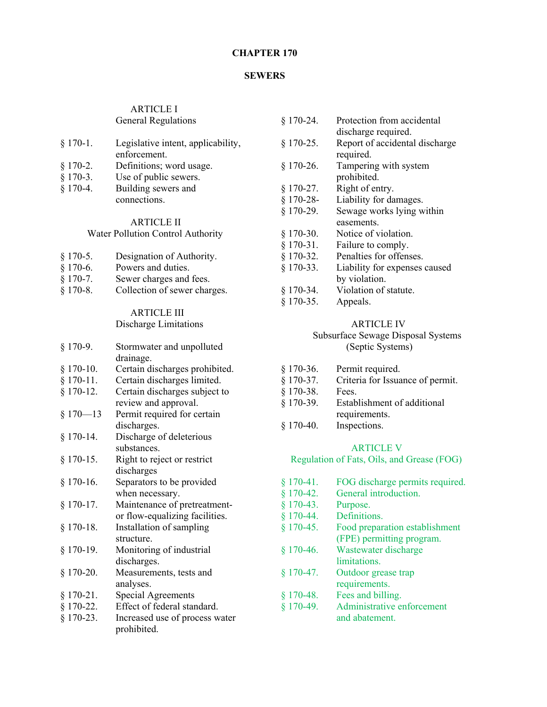#### **CHAPTER 170**

#### **SEWERS**

#### ARTICLE I General Regulations

| $$170-1.$  | Legislative intent, applicability, |
|------------|------------------------------------|
|            | enforcement.                       |
| $$170-2.$  | Definitions; word usage.           |
| $$170-3.$  | Use of public sewers.              |
| $§$ 170-4. | Building sewers and                |

connections.

# ARTICLE II

## Water Pollution Control Authority

| $§$ 170-5.       | Designation of Authority. |
|------------------|---------------------------|
| e 170 $\epsilon$ | Daoinean am 1 deal an     |

- § 170-6. Powers and duties.
- § 170-7. Sewer charges and fees.
- § 170-8. Collection of sewer charges.

## ARTICLE III

## Discharge Limitations

| Stormwater and unpolluted      |
|--------------------------------|
| drainage.                      |
| Certain discharges prohibited. |
| Certain discharges limited.    |
| Certain discharges subject to  |
| review and approval.           |
| Permit required for certain    |
| discharges.                    |
| Discharge of deleterious       |
| substances.                    |
| Right to reject or restrict    |
| discharges                     |
| Separators to be provided      |
| when necessary.                |
| Maintenance of pretreatment-   |
| or flow-equalizing facilities. |
| Installation of sampling       |
| structure.                     |
| Monitoring of industrial       |
| discharges.                    |
| Measurements, tests and        |
| analyses.                      |
| Special Agreements             |
| Effect of federal standard.    |
| Increased use of process water |
| prohibited.                    |
|                                |

| Protection from accidental     |
|--------------------------------|
| discharge required.            |
| Report of accidental discharge |
| required.                      |
| Tampering with system          |
| prohibited.                    |
| Right of entry.                |
| Liability for damages.         |
| Sewage works lying within      |
| easements.                     |
| Notice of violation.           |
| Failure to comply.             |
| Penalties for offenses.        |
| Liability for expenses caused  |
| by violation.                  |
| Violation of statute.          |
| Appeals.                       |
|                                |

#### ARTICLE IV

 Subsurface Sewage Disposal Systems (Septic Systems)

| $§$ 170-36. | Permit required.                 |
|-------------|----------------------------------|
| $§ 170-37.$ | Criteria for Issuance of permit. |
| $$170-38.$  | Fees.                            |
| $$170-39.$  | Establishment of additional      |
|             | requirements.                    |
| $§$ 170-40. | Inspections.                     |

#### ARTICLE V

Regulation of Fats, Oils, and Grease (FOG)

| $§$ 170-41. | FOG discharge permits required. |
|-------------|---------------------------------|
| $§$ 170-42. | General introduction.           |
| $§$ 170-43. | Purpose.                        |
| $§$ 170-44. | <b>Definitions</b>              |
| $§$ 170-45. | Food preparation establishment  |
|             | (FPE) permitting program.       |
| $§$ 170-46. | Wastewater discharge            |
|             | limitations.                    |
| $§$ 170-47. | Outdoor grease trap             |
|             | requirements.                   |
| $§$ 170-48. | Fees and billing.               |
| $$170-49.$  | Administrative enforcement      |
|             | and abatement.                  |
|             |                                 |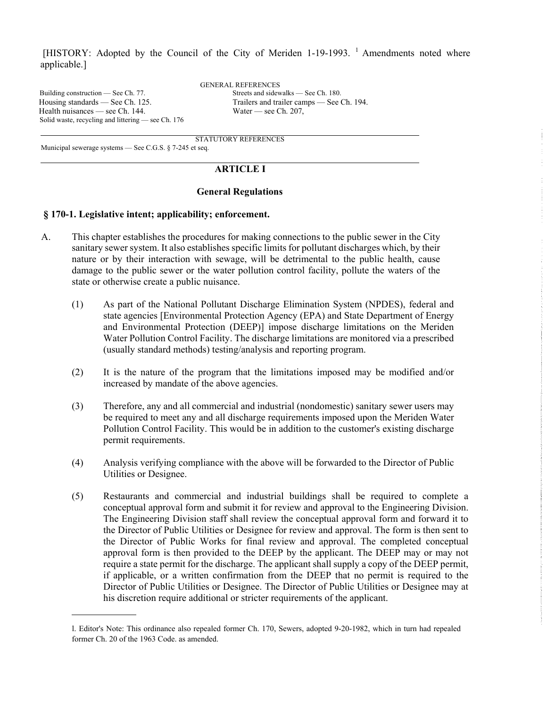[HISTORY: Adopted by the Council of the City of Meriden 1-19-1993.<sup>1</sup> Amendments noted where applicable.]

Building construction — See Ch. 77. Streets and sidewalks — See Ch. 180. Health nuisances — see Ch. 144. Water — see Ch. 207, Solid waste, recycling and littering — see Ch. 176

GENERAL REFERENCES Housing standards — See Ch. 125. Trailers and trailer camps — See Ch. 194.

 $\ddot{\phantom{a}}$ 

STATUTORY REFERENCES

Municipal sewerage systems — See C.G.S. § 7-245 et seq.

#### **ARTICLE I**

#### **General Regulations**

#### **§ 170-1. Legislative intent; applicability; enforcement.**

- A. This chapter establishes the procedures for making connections to the public sewer in the City sanitary sewer system. It also establishes specific limits for pollutant discharges which, by their nature or by their interaction with sewage, will be detrimental to the public health, cause damage to the public sewer or the water pollution control facility, pollute the waters of the state or otherwise create a public nuisance.
	- (1) As part of the National Pollutant Discharge Elimination System (NPDES), federal and state agencies [Environmental Protection Agency (EPA) and State Department of Energy and Environmental Protection (DEEP)] impose discharge limitations on the Meriden Water Pollution Control Facility. The discharge limitations are monitored via a prescribed (usually standard methods) testing/analysis and reporting program.
	- (2) It is the nature of the program that the limitations imposed may be modified and/or increased by mandate of the above agencies.
	- (3) Therefore, any and all commercial and industrial (nondomestic) sanitary sewer users may be required to meet any and all discharge requirements imposed upon the Meriden Water Pollution Control Facility. This would be in addition to the customer's existing discharge permit requirements.
	- (4) Analysis verifying compliance with the above will be forwarded to the Director of Public Utilities or Designee.
	- (5) Restaurants and commercial and industrial buildings shall be required to complete a conceptual approval form and submit it for review and approval to the Engineering Division. The Engineering Division staff shall review the conceptual approval form and forward it to the Director of Public Utilities or Designee for review and approval. The form is then sent to the Director of Public Works for final review and approval. The completed conceptual approval form is then provided to the DEEP by the applicant. The DEEP may or may not require a state permit for the discharge. The applicant shall supply a copy of the DEEP permit, if applicable, or a written confirmation from the DEEP that no permit is required to the Director of Public Utilities or Designee. The Director of Public Utilities or Designee may at his discretion require additional or stricter requirements of the applicant.

l. Editor's Note: This ordinance also repealed former Ch. 170, Sewers, adopted 9-20-1982, which in turn had repealed former Ch. 20 of the 1963 Code. as amended.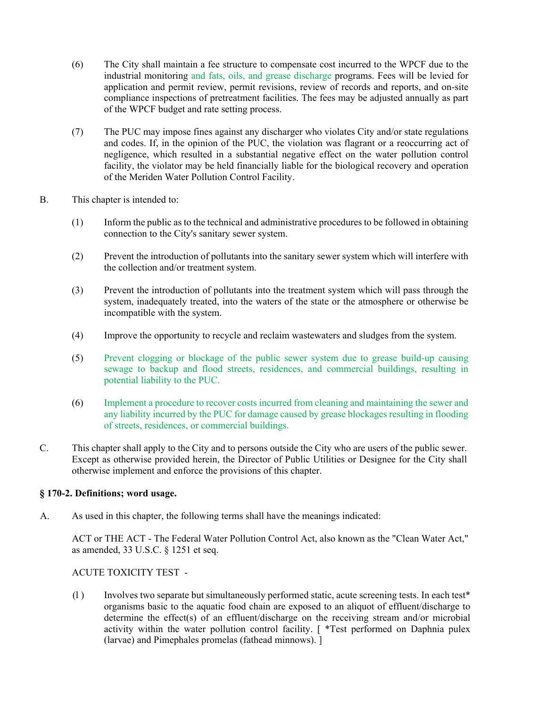- (6) The City shall maintain a fee structure to compensate cost incurred to the WPCF due to the industrial monitoring and fats, oils, and grease discharge programs. Fees will be levied for application and permit review, permit revisions, review of records and reports, and on-site compliance inspections of pretreatment facilities. The fees may be adjusted annually as part of the WPCF budget and rate setting process.
- (7) The PUC may impose fines against any discharger who violates City and/or state regulations and codes. If, in the opinion of the PUC, the violation was flagrant or a reoccurring act of negligence, which resulted in a substantial negative effect on the water pollution control facility, the violator may be held financially liable for the biological recovery and operation of the Meriden Water Pollution Control Facility.
- B. This chapter is intended to:
	- (1) Inform the public as to the technical and administrative procedures to be followed in obtaining connection to the City's sanitary sewer system.
	- (2) Prevent the introduction of pollutants into the sanitary sewer system which will interfere with the collection and/or treatment system.
	- (3) Prevent the introduction of pollutants into the treatment system which will pass through the system, inadequately treated, into the waters of the state or the atmosphere or otherwise be incompatible with the system.
	- (4) Improve the opportunity to recycle and reclaim wastewaters and sludges from the system.
	- (5) Prevent clogging or blockage of the public sewer system due to grease build-up causing sewage to backup and flood streets, residences, and commercial buildings, resulting in potential liability to the PUC.
	- (6) Implement a procedure to recover costs incurred from cleaning and maintaining the sewer and any liability incurred by the PUC for damage caused by grease blockages resulting in flooding of streets, residences, or commercial buildings.
- C. This chapter shall apply to the City and to persons outside the City who are users of the public sewer. Except as otherwise provided herein, the Director of Public Utilities or Designee for the City shall otherwise implement and enforce the provisions of this chapter.

#### **§ 170-2. Definitions; word usage.**

A. As used in this chapter, the following terms shall have the meanings indicated:

ACT or THE ACT - The Federal Water Pollution Control Act, also known as the "Clean Water Act," as amended, 33 U.S.C. § 1251 et seq.

#### ACUTE TOXICITY TEST -

(l ) Involves two separate but simultaneously performed static, acute screening tests. In each test\* organisms basic to the aquatic food chain are exposed to an aliquot of effluent/discharge to determine the effect(s) of an effluent/discharge on the receiving stream and/or microbial activity within the water pollution control facility. [ \*Test performed on Daphnia pulex (larvae) and Pimephales promelas (fathead minnows). ]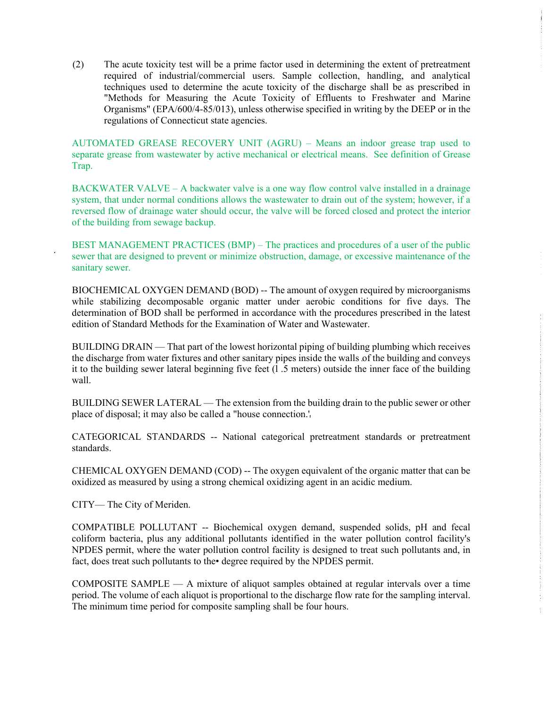(2) The acute toxicity test will be a prime factor used in determining the extent of pretreatment required of industrial/commercial users. Sample collection, handling, and analytical techniques used to determine the acute toxicity of the discharge shall be as prescribed in "Methods for Measuring the Acute Toxicity of Effluents to Freshwater and Marine Organisms" (EPA/600/4-85/013), unless otherwise specified in writing by the DEEP or in the regulations of Connecticut state agencies.

AUTOMATED GREASE RECOVERY UNIT (AGRU) – Means an indoor grease trap used to separate grease from wastewater by active mechanical or electrical means. See definition of Grease Trap.

BACKWATER VALVE – A backwater valve is a one way flow control valve installed in a drainage system, that under normal conditions allows the wastewater to drain out of the system; however, if a reversed flow of drainage water should occur, the valve will be forced closed and protect the interior of the building from sewage backup.

BEST MANAGEMENT PRACTICES (BMP) – The practices and procedures of a user of the public sewer that are designed to prevent or minimize obstruction, damage, or excessive maintenance of the sanitary sewer.

BIOCHEMICAL OXYGEN DEMAND (BOD) -- The amount of oxygen required by microorganisms while stabilizing decomposable organic matter under aerobic conditions for five days. The determination of BOD shall be performed in accordance with the procedures prescribed in the latest edition of Standard Methods for the Examination of Water and Wastewater.

BUILDING DRAIN — That part of the lowest horizontal piping of building plumbing which receives the discharge from water fixtures and other sanitary pipes inside the walls of the building and conveys it to the building sewer lateral beginning five feet  $(1.5 \text{ meters})$  outside the inner face of the building wall.

BUILDING SEWER LATERAL — The extension from the building drain to the public sewer or other place of disposal; it may also be called a "house connection.'

CATEGORICAL STANDARDS -- National categorical pretreatment standards or pretreatment standards.

CHEMICAL OXYGEN DEMAND (COD) -- The oxygen equivalent of the organic matter that can be oxidized as measured by using a strong chemical oxidizing agent in an acidic medium.

CITY— The City of Meriden.

COMPATIBLE POLLUTANT -- Biochemical oxygen demand, suspended solids, pH and fecal coliform bacteria, plus any additional pollutants identified in the water pollution control facility's NPDES permit, where the water pollution control facility is designed to treat such pollutants and, in fact, does treat such pollutants to the degree required by the NPDES permit.

COMPOSITE SAMPLE — A mixture of aliquot samples obtained at regular intervals over a time period. The volume of each aliquot is proportional to the discharge flow rate for the sampling interval. The minimum time period for composite sampling shall be four hours.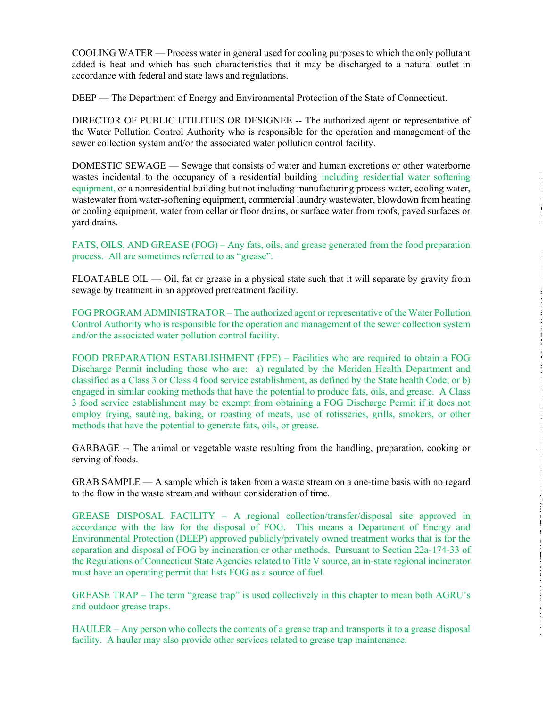COOLING WATER — Process water in general used for cooling purposes to which the only pollutant added is heat and which has such characteristics that it may be discharged to a natural outlet in accordance with federal and state laws and regulations.

DEEP — The Department of Energy and Environmental Protection of the State of Connecticut.

DIRECTOR OF PUBLIC UTILITIES OR DESIGNEE -- The authorized agent or representative of the Water Pollution Control Authority who is responsible for the operation and management of the sewer collection system and/or the associated water pollution control facility.

DOMESTIC SEWAGE — Sewage that consists of water and human excretions or other waterborne wastes incidental to the occupancy of a residential building including residential water softening equipment, or a nonresidential building but not including manufacturing process water, cooling water, wastewater from water-softening equipment, commercial laundry wastewater, blowdown from heating or cooling equipment, water from cellar or floor drains, or surface water from roofs, paved surfaces or yard drains.

FATS, OILS, AND GREASE (FOG) – Any fats, oils, and grease generated from the food preparation process. All are sometimes referred to as "grease".

FLOATABLE OIL — Oil, fat or grease in a physical state such that it will separate by gravity from sewage by treatment in an approved pretreatment facility.

FOG PROGRAM ADMINISTRATOR – The authorized agent or representative of the Water Pollution Control Authority who is responsible for the operation and management of the sewer collection system and/or the associated water pollution control facility.

FOOD PREPARATION ESTABLISHMENT (FPE) – Facilities who are required to obtain a FOG Discharge Permit including those who are: a) regulated by the Meriden Health Department and classified as a Class 3 or Class 4 food service establishment, as defined by the State health Code; or b) engaged in similar cooking methods that have the potential to produce fats, oils, and grease. A Class 3 food service establishment may be exempt from obtaining a FOG Discharge Permit if it does not employ frying, sautéing, baking, or roasting of meats, use of rotisseries, grills, smokers, or other methods that have the potential to generate fats, oils, or grease.

GARBAGE -- The animal or vegetable waste resulting from the handling, preparation, cooking or serving of foods.

 $GRAB SAMPLE - A sample which is taken from a waste stream on a one-time basis with no regard$ to the flow in the waste stream and without consideration of time.

GREASE DISPOSAL FACILITY – A regional collection/transfer/disposal site approved in accordance with the law for the disposal of FOG. This means a Department of Energy and Environmental Protection (DEEP) approved publicly/privately owned treatment works that is for the separation and disposal of FOG by incineration or other methods. Pursuant to Section 22a-174-33 of the Regulations of Connecticut State Agencies related to Title V source, an in-state regional incinerator must have an operating permit that lists FOG as a source of fuel.

GREASE TRAP – The term "grease trap" is used collectively in this chapter to mean both AGRU's and outdoor grease traps.

HAULER – Any person who collects the contents of a grease trap and transports it to a grease disposal facility. A hauler may also provide other services related to grease trap maintenance.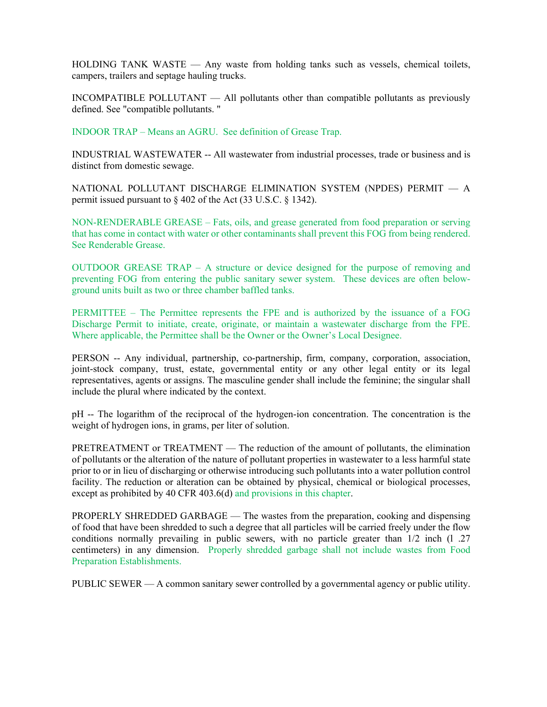HOLDING TANK WASTE — Any waste from holding tanks such as vessels, chemical toilets, campers, trailers and septage hauling trucks.

INCOMPATIBLE POLLUTANT — All pollutants other than compatible pollutants as previously defined. See "compatible pollutants. "

INDOOR TRAP – Means an AGRU. See definition of Grease Trap.

INDUSTRIAL WASTEWATER -- All wastewater from industrial processes, trade or business and is distinct from domestic sewage.

NATIONAL POLLUTANT DISCHARGE ELIMINATION SYSTEM (NPDES) PERMIT — A permit issued pursuant to § 402 of the Act (33 U.S.C. § 1342).

NON-RENDERABLE GREASE – Fats, oils, and grease generated from food preparation or serving that has come in contact with water or other contaminants shall prevent this FOG from being rendered. See Renderable Grease.

OUTDOOR GREASE TRAP – A structure or device designed for the purpose of removing and preventing FOG from entering the public sanitary sewer system. These devices are often belowground units built as two or three chamber baffled tanks.

PERMITTEE – The Permittee represents the FPE and is authorized by the issuance of a FOG Discharge Permit to initiate, create, originate, or maintain a wastewater discharge from the FPE. Where applicable, the Permittee shall be the Owner or the Owner's Local Designee.

PERSON -- Any individual, partnership, co-partnership, firm, company, corporation, association, joint-stock company, trust, estate, governmental entity or any other legal entity or its legal representatives, agents or assigns. The masculine gender shall include the feminine; the singular shall include the plural where indicated by the context.

pH -- The logarithm of the reciprocal of the hydrogen-ion concentration. The concentration is the weight of hydrogen ions, in grams, per liter of solution.

PRETREATMENT or TREATMENT — The reduction of the amount of pollutants, the elimination of pollutants or the alteration of the nature of pollutant properties in wastewater to a less harmful state prior to or in lieu of discharging or otherwise introducing such pollutants into a water pollution control facility. The reduction or alteration can be obtained by physical, chemical or biological processes, except as prohibited by 40 CFR 403.6(d) and provisions in this chapter.

PROPERLY SHREDDED GARBAGE — The wastes from the preparation, cooking and dispensing of food that have been shredded to such a degree that all particles will be carried freely under the flow conditions normally prevailing in public sewers, with no particle greater than 1/2 inch (l .27 centimeters) in any dimension. Properly shredded garbage shall not include wastes from Food Preparation Establishments.

PUBLIC SEWER — A common sanitary sewer controlled by a governmental agency or public utility.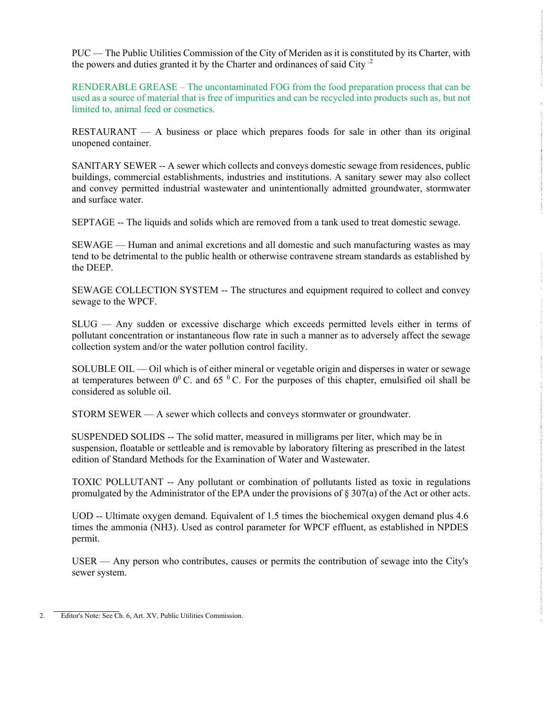PUC — The Public Utilities Commission of the City of Meriden as it is constituted by its Charter, with the powers and duties granted it by the Charter and ordinances of said City  $<sup>2</sup>$ </sup>

RENDERABLE GREASE – The uncontaminated FOG from the food preparation process that can be used as a source of material that is free of impurities and can be recycled into products such as, but not limited to, animal feed or cosmetics.

RESTAURANT  $-$  A business or place which prepares foods for sale in other than its original unopened container.

SANITARY SEWER -- A sewer which collects and conveys domestic sewage from residences, public buildings, commercial establishments, industries and institutions. A sanitary sewer may also collect and convey permitted industrial wastewater and unintentionally admitted groundwater, stormwater and surface water.

SEPTAGE -- The liquids and solids which are removed from a tank used to treat domestic sewage.

SEWAGE — Human and animal excretions and all domestic and such manufacturing wastes as may tend to be detrimental to the public health or otherwise contravene stream standards as established by the DEEP.

SEWAGE COLLECTION SYSTEM -- The structures and equipment required to collect and convey sewage to the WPCF.

SLUG — Any sudden or excessive discharge which exceeds permitted levels either in terms of pollutant concentration or instantaneous flow rate in such a manner as to adversely affect the sewage collection system and/or the water pollution control facility.

SOLUBLE OIL — Oil which is of either mineral or vegetable origin and disperses in water or sewage at temperatures between  $0^0$  C. and 65  $^0$  C. For the purposes of this chapter, emulsified oil shall be considered as soluble oil.

STORM SEWER — A sewer which collects and conveys stormwater or groundwater.

SUSPENDED SOLIDS -- The solid matter, measured in milligrams per liter, which may be in suspension, floatable or settleable and is removable by laboratory filtering as prescribed in the latest edition of Standard Methods for the Examination of Water and Wastewater.

TOXIC POLLUTANT -- Any pollutant or combination of pollutants listed as toxic in regulations promulgated by the Administrator of the EPA under the provisions of § 307(a) of the Act or other acts.

UOD -- Ultimate oxygen demand. Equivalent of 1.5 times the biochemical oxygen demand plus 4.6 times the ammonia (NH3). Used as control parameter for WPCF effluent, as established in NPDES permit.

USER — Any person who contributes, causes or permits the contribution of sewage into the City's sewer system.

**Editor's Note: See Ch. 6, Art. XV, Public Utilities Commission.**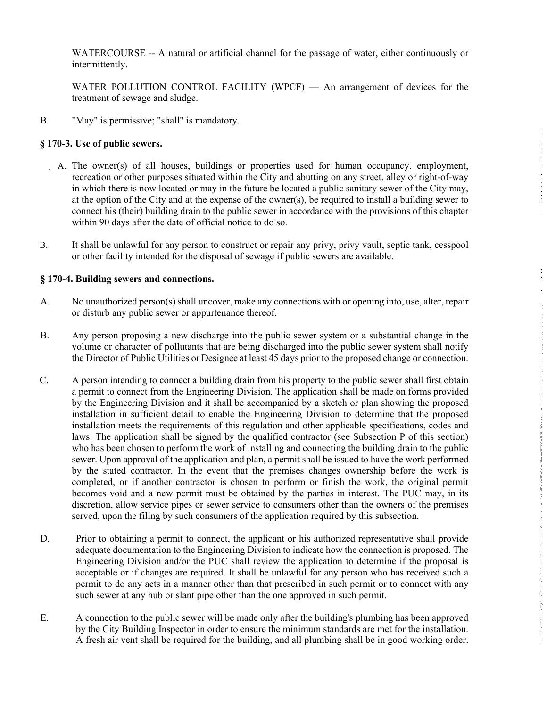WATERCOURSE -- A natural or artificial channel for the passage of water, either continuously or intermittently.

WATER POLLUTION CONTROL FACILITY (WPCF) — An arrangement of devices for the treatment of sewage and sludge.

B. "May" is permissive; "shall" is mandatory.

#### **§ 170-3. Use of public sewers.**

- A. The owner(s) of all houses, buildings or properties used for human occupancy, employment, recreation or other purposes situated within the City and abutting on any street, alley or right-of-way in which there is now located or may in the future be located a public sanitary sewer of the City may, at the option of the City and at the expense of the owner(s), be required to install a building sewer to connect his (their) building drain to the public sewer in accordance with the provisions of this chapter within 90 days after the date of official notice to do so.
- B. It shall be unlawful for any person to construct or repair any privy, privy vault, septic tank, cesspool or other facility intended for the disposal of sewage if public sewers are available.

#### **§ 170-4. Building sewers and connections.**

- A. No unauthorized person(s) shall uncover, make any connections with or opening into, use, alter, repair or disturb any public sewer or appurtenance thereof.
- B. Any person proposing a new discharge into the public sewer system or a substantial change in the volume or character of pollutants that are being discharged into the public sewer system shall notify the Director of Public Utilities or Designee at least 45 days prior to the proposed change or connection.
- C. A person intending to connect a building drain from his property to the public sewer shall first obtain a permit to connect from the Engineering Division. The application shall be made on forms provided by the Engineering Division and it shall be accompanied by a sketch or plan showing the proposed installation in sufficient detail to enable the Engineering Division to determine that the proposed installation meets the requirements of this regulation and other applicable specifications, codes and laws. The application shall be signed by the qualified contractor (see Subsection P of this section) who has been chosen to perform the work of installing and connecting the building drain to the public sewer. Upon approval of the application and plan, a permit shall be issued to have the work performed by the stated contractor. In the event that the premises changes ownership before the work is completed, or if another contractor is chosen to perform or finish the work, the original permit becomes void and a new permit must be obtained by the parties in interest. The PUC may, in its discretion, allow service pipes or sewer service to consumers other than the owners of the premises served, upon the filing by such consumers of the application required by this subsection.
- D. Prior to obtaining a permit to connect, the applicant or his authorized representative shall provide adequate documentation to the Engineering Division to indicate how the connection is proposed. The Engineering Division and/or the PUC shall review the application to determine if the proposal is acceptable or if changes are required. It shall be unlawful for any person who has received such a permit to do any acts in a manner other than that prescribed in such permit or to connect with any such sewer at any hub or slant pipe other than the one approved in such permit.

E. A connection to the public sewer will be made only after the building's plumbing has been approved by the City Building Inspector in order to ensure the minimum standards are met for the installation. A fresh air vent shall be required for the building, and all plumbing shall be in good working order.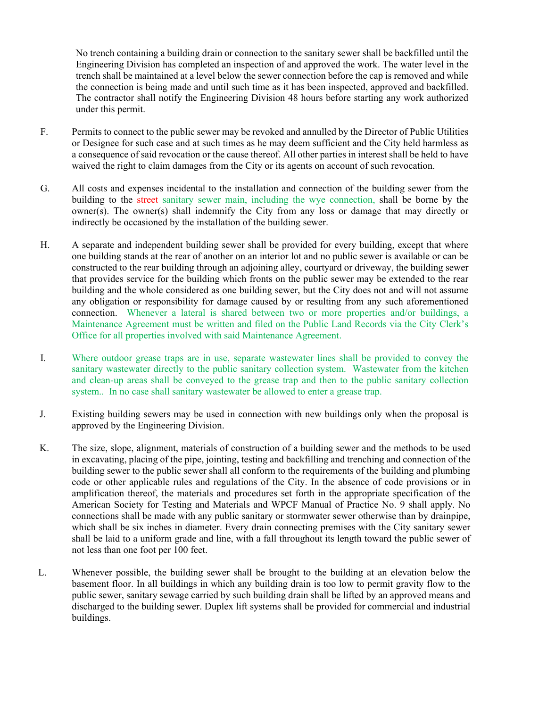No trench containing a building drain or connection to the sanitary sewer shall be backfilled until the Engineering Division has completed an inspection of and approved the work. The water level in the trench shall be maintained at a level below the sewer connection before the cap is removed and while the connection is being made and until such time as it has been inspected, approved and backfilled. The contractor shall notify the Engineering Division 48 hours before starting any work authorized under this permit.

- F. Permits to connect to the public sewer may be revoked and annulled by the Director of Public Utilities or Designee for such case and at such times as he may deem sufficient and the City held harmless as a consequence of said revocation or the cause thereof. All other parties in interest shall be held to have waived the right to claim damages from the City or its agents on account of such revocation.
- G. All costs and expenses incidental to the installation and connection of the building sewer from the building to the street sanitary sewer main, including the wye connection, shall be borne by the owner(s). The owner(s) shall indemnify the City from any loss or damage that may directly or indirectly be occasioned by the installation of the building sewer.
- H. A separate and independent building sewer shall be provided for every building, except that where one building stands at the rear of another on an interior lot and no public sewer is available or can be constructed to the rear building through an adjoining alley, courtyard or driveway, the building sewer that provides service for the building which fronts on the public sewer may be extended to the rear building and the whole considered as one building sewer, but the City does not and will not assume any obligation or responsibility for damage caused by or resulting from any such aforementioned connection. Whenever a lateral is shared between two or more properties and/or buildings, a Maintenance Agreement must be written and filed on the Public Land Records via the City Clerk's Office for all properties involved with said Maintenance Agreement.
- I. Where outdoor grease traps are in use, separate wastewater lines shall be provided to convey the sanitary wastewater directly to the public sanitary collection system. Wastewater from the kitchen and clean-up areas shall be conveyed to the grease trap and then to the public sanitary collection system.. In no case shall sanitary wastewater be allowed to enter a grease trap.
- J. Existing building sewers may be used in connection with new buildings only when the proposal is approved by the Engineering Division.
- K. The size, slope, alignment, materials of construction of a building sewer and the methods to be used in excavating, placing of the pipe, jointing, testing and backfilling and trenching and connection of the building sewer to the public sewer shall all conform to the requirements of the building and plumbing code or other applicable rules and regulations of the City. In the absence of code provisions or in amplification thereof, the materials and procedures set forth in the appropriate specification of the American Society for Testing and Materials and WPCF Manual of Practice No. 9 shall apply. No connections shall be made with any public sanitary or stormwater sewer otherwise than by drainpipe, which shall be six inches in diameter. Every drain connecting premises with the City sanitary sewer shall be laid to a uniform grade and line, with a fall throughout its length toward the public sewer of not less than one foot per 100 feet.
- L. Whenever possible, the building sewer shall be brought to the building at an elevation below the basement floor. In all buildings in which any building drain is too low to permit gravity flow to the public sewer, sanitary sewage carried by such building drain shall be lifted by an approved means and discharged to the building sewer. Duplex lift systems shall be provided for commercial and industrial buildings.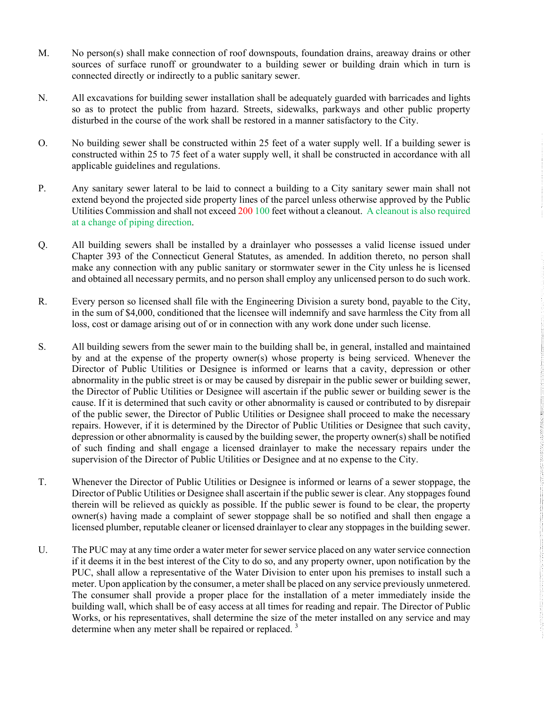- M. No person(s) shall make connection of roof downspouts, foundation drains, areaway drains or other sources of surface runoff or groundwater to a building sewer or building drain which in turn is connected directly or indirectly to a public sanitary sewer.
- N. All excavations for building sewer installation shall be adequately guarded with barricades and lights so as to protect the public from hazard. Streets, sidewalks, parkways and other public property disturbed in the course of the work shall be restored in a manner satisfactory to the City.
- O. No building sewer shall be constructed within 25 feet of a water supply well. If a building sewer is constructed within 25 to 75 feet of a water supply well, it shall be constructed in accordance with all applicable guidelines and regulations.
- P. Any sanitary sewer lateral to be laid to connect a building to a City sanitary sewer main shall not extend beyond the projected side property lines of the parcel unless otherwise approved by the Public Utilities Commission and shall not exceed 200 100 feet without a cleanout. A cleanout is also required at a change of piping direction.
- Q. All building sewers shall be installed by a drainlayer who possesses a valid license issued under Chapter 393 of the Connecticut General Statutes, as amended. In addition thereto, no person shall make any connection with any public sanitary or stormwater sewer in the City unless he is licensed and obtained all necessary permits, and no person shall employ any unlicensed person to do such work.
- R. Every person so licensed shall file with the Engineering Division a surety bond, payable to the City, in the sum of \$4,000, conditioned that the licensee will indemnify and save harmless the City from all loss, cost or damage arising out of or in connection with any work done under such license.
- S. All building sewers from the sewer main to the building shall be, in general, installed and maintained by and at the expense of the property owner(s) whose property is being serviced. Whenever the Director of Public Utilities or Designee is informed or learns that a cavity, depression or other abnormality in the public street is or may be caused by disrepair in the public sewer or building sewer, the Director of Public Utilities or Designee will ascertain if the public sewer or building sewer is the cause. If it is determined that such cavity or other abnormality is caused or contributed to by disrepair of the public sewer, the Director of Public Utilities or Designee shall proceed to make the necessary repairs. However, if it is determined by the Director of Public Utilities or Designee that such cavity, depression or other abnormality is caused by the building sewer, the property owner(s) shall be notified of such finding and shall engage a licensed drainlayer to make the necessary repairs under the supervision of the Director of Public Utilities or Designee and at no expense to the City.
- T. Whenever the Director of Public Utilities or Designee is informed or learns of a sewer stoppage, the Director of Public Utilities or Designee shall ascertain if the public sewer is clear. Any stoppages found therein will be relieved as quickly as possible. If the public sewer is found to be clear, the property owner(s) having made a complaint of sewer stoppage shall be so notified and shall then engage a licensed plumber, reputable cleaner or licensed drainlayer to clear any stoppages in the building sewer.
- U. The PUC may at any time order a water meter for sewer service placed on any water service connection if it deems it in the best interest of the City to do so, and any property owner, upon notification by the PUC, shall allow a representative of the Water Division to enter upon his premises to install such a meter. Upon application by the consumer, a meter shall be placed on any service previously unmetered. The consumer shall provide a proper place for the installation of a meter immediately inside the building wall, which shall be of easy access at all times for reading and repair. The Director of Public Works, or his representatives, shall determine the size of the meter installed on any service and may determine when any meter shall be repaired or replaced.<sup>3</sup>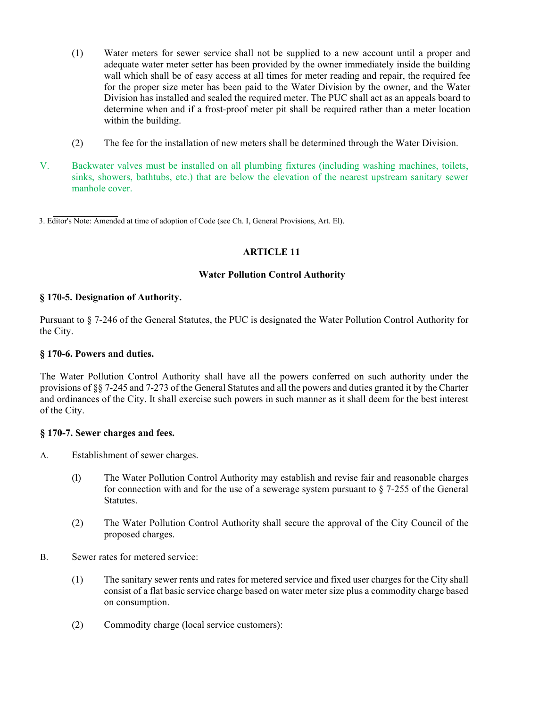- (1) Water meters for sewer service shall not be supplied to a new account until a proper and adequate water meter setter has been provided by the owner immediately inside the building wall which shall be of easy access at all times for meter reading and repair, the required fee for the proper size meter has been paid to the Water Division by the owner, and the Water Division has installed and sealed the required meter. The PUC shall act as an appeals board to determine when and if a frost-proof meter pit shall be required rather than a meter location within the building.
- (2) The fee for the installation of new meters shall be determined through the Water Division.
- V. Backwater valves must be installed on all plumbing fixtures (including washing machines, toilets, sinks, showers, bathtubs, etc.) that are below the elevation of the nearest upstream sanitary sewer manhole cover.

3. Editor's Note: Amended at time of adoption of Code (see Ch. I, General Provisions, Art. El).

#### **ARTICLE 11**

#### **Water Pollution Control Authority**

#### **§ 170-5. Designation of Authority.**

Pursuant to § 7-246 of the General Statutes, the PUC is designated the Water Pollution Control Authority for the City.

#### **§ 170-6. Powers and duties.**

The Water Pollution Control Authority shall have all the powers conferred on such authority under the provisions of §§ 7-245 and 7-273 of the General Statutes and all the powers and duties granted it by the Charter and ordinances of the City. It shall exercise such powers in such manner as it shall deem for the best interest of the City.

#### **§ 170-7. Sewer charges and fees.**

- A. Establishment of sewer charges.
	- (l) The Water Pollution Control Authority may establish and revise fair and reasonable charges for connection with and for the use of a sewerage system pursuant to  $\S$  7-255 of the General Statutes.
	- (2) The Water Pollution Control Authority shall secure the approval of the City Council of the proposed charges.
- B. Sewer rates for metered service:
	- (1) The sanitary sewer rents and rates for metered service and fixed user charges for the City shall consist of a flat basic service charge based on water meter size plus a commodity charge based on consumption.
	- (2) Commodity charge (local service customers):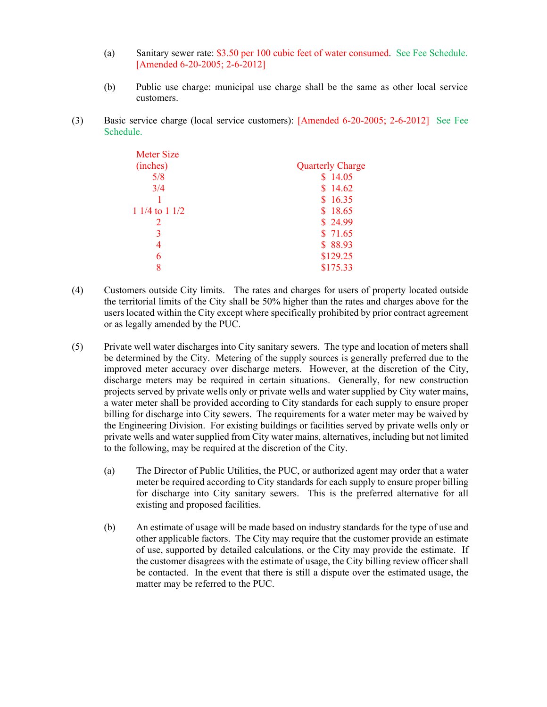- (a) Sanitary sewer rate: \$3.50 per 100 cubic feet of water consumed. See Fee Schedule. [Amended 6-20-2005; 2-6-2012]
- (b) Public use charge: municipal use charge shall be the same as other local service customers.
- (3) Basic service charge (local service customers): [Amended 6-20-2005; 2-6-2012] See Fee Schedule.

| Meter Size     |                         |
|----------------|-------------------------|
| (inches)       | <b>Quarterly Charge</b> |
| 5/8            | \$14.05                 |
| 3/4            | \$14.62                 |
|                | \$16.35                 |
| 1 1/4 to 1 1/2 | \$18.65                 |
|                | \$24.99                 |
|                | \$71.65                 |
|                | \$88.93                 |
| 6              | \$129.25                |
| 8              | \$175.33                |

- (4) Customers outside City limits. The rates and charges for users of property located outside the territorial limits of the City shall be 50% higher than the rates and charges above for the users located within the City except where specifically prohibited by prior contract agreement or as legally amended by the PUC.
- (5) Private well water discharges into City sanitary sewers. The type and location of meters shall be determined by the City. Metering of the supply sources is generally preferred due to the improved meter accuracy over discharge meters. However, at the discretion of the City, discharge meters may be required in certain situations. Generally, for new construction projects served by private wells only or private wells and water supplied by City water mains, a water meter shall be provided according to City standards for each supply to ensure proper billing for discharge into City sewers. The requirements for a water meter may be waived by the Engineering Division. For existing buildings or facilities served by private wells only or private wells and water supplied from City water mains, alternatives, including but not limited to the following, may be required at the discretion of the City.
	- (a) The Director of Public Utilities, the PUC, or authorized agent may order that a water meter be required according to City standards for each supply to ensure proper billing for discharge into City sanitary sewers. This is the preferred alternative for all existing and proposed facilities.
	- (b) An estimate of usage will be made based on industry standards for the type of use and other applicable factors. The City may require that the customer provide an estimate of use, supported by detailed calculations, or the City may provide the estimate. If the customer disagrees with the estimate of usage, the City billing review officer shall be contacted. In the event that there is still a dispute over the estimated usage, the matter may be referred to the PUC.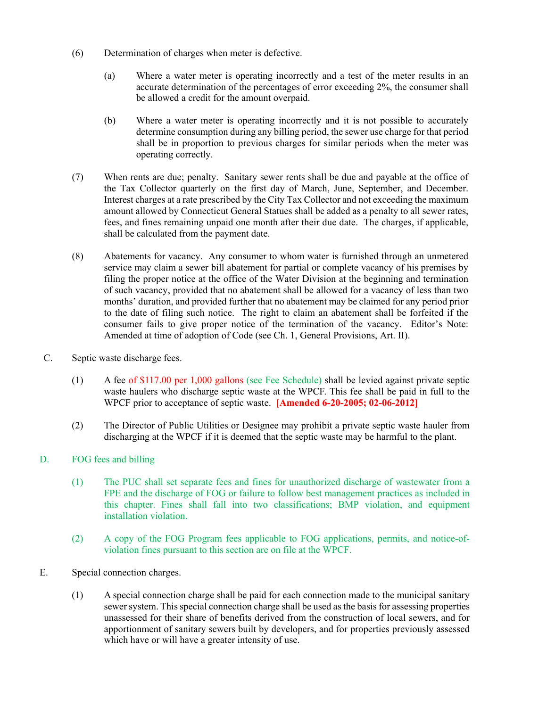- (6) Determination of charges when meter is defective.
	- (a) Where a water meter is operating incorrectly and a test of the meter results in an accurate determination of the percentages of error exceeding 2%, the consumer shall be allowed a credit for the amount overpaid.
	- (b) Where a water meter is operating incorrectly and it is not possible to accurately determine consumption during any billing period, the sewer use charge for that period shall be in proportion to previous charges for similar periods when the meter was operating correctly.
- (7) When rents are due; penalty. Sanitary sewer rents shall be due and payable at the office of the Tax Collector quarterly on the first day of March, June, September, and December. Interest charges at a rate prescribed by the City Tax Collector and not exceeding the maximum amount allowed by Connecticut General Statues shall be added as a penalty to all sewer rates, fees, and fines remaining unpaid one month after their due date. The charges, if applicable, shall be calculated from the payment date.
- (8) Abatements for vacancy. Any consumer to whom water is furnished through an unmetered service may claim a sewer bill abatement for partial or complete vacancy of his premises by filing the proper notice at the office of the Water Division at the beginning and termination of such vacancy, provided that no abatement shall be allowed for a vacancy of less than two months' duration, and provided further that no abatement may be claimed for any period prior to the date of filing such notice. The right to claim an abatement shall be forfeited if the consumer fails to give proper notice of the termination of the vacancy. Editor's Note: Amended at time of adoption of Code (see Ch. 1, General Provisions, Art. II).
- C. Septic waste discharge fees.
	- (1) A fee of \$117.00 per 1,000 gallons (see Fee Schedule) shall be levied against private septic waste haulers who discharge septic waste at the WPCF. This fee shall be paid in full to the WPCF prior to acceptance of septic waste. **[Amended 6-20-2005; 02-06-2012]**
	- (2) The Director of Public Utilities or Designee may prohibit a private septic waste hauler from discharging at the WPCF if it is deemed that the septic waste may be harmful to the plant.

## D. FOG fees and billing

- (1) The PUC shall set separate fees and fines for unauthorized discharge of wastewater from a FPE and the discharge of FOG or failure to follow best management practices as included in this chapter. Fines shall fall into two classifications; BMP violation, and equipment installation violation.
- (2) A copy of the FOG Program fees applicable to FOG applications, permits, and notice-ofviolation fines pursuant to this section are on file at the WPCF.
- E. Special connection charges.
	- (1) A special connection charge shall be paid for each connection made to the municipal sanitary sewer system. This special connection charge shall be used as the basis for assessing properties unassessed for their share of benefits derived from the construction of local sewers, and for apportionment of sanitary sewers built by developers, and for properties previously assessed which have or will have a greater intensity of use.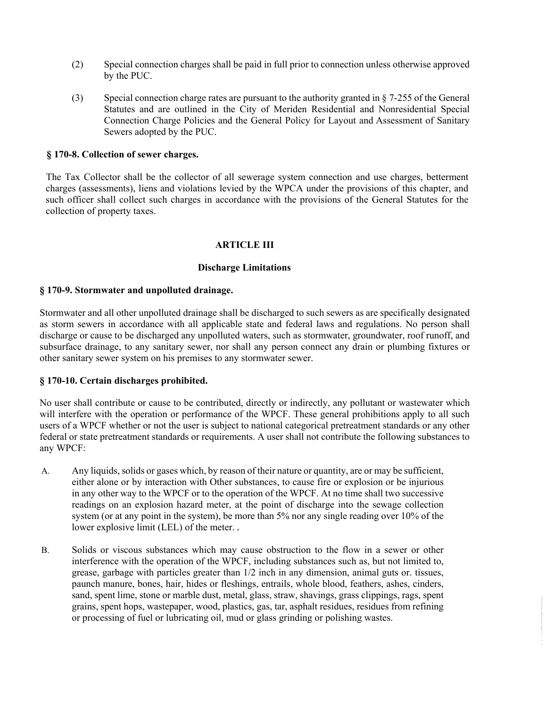- (2) Special connection charges shall be paid in full prior to connection unless otherwise approved by the PUC.
- (3) Special connection charge rates are pursuant to the authority granted in § 7-255 of the General Statutes and are outlined in the City of Meriden Residential and Nonresidential Special Connection Charge Policies and the General Policy for Layout and Assessment of Sanitary Sewers adopted by the PUC.

#### **§ 170-8. Collection of sewer charges.**

The Tax Collector shall be the collector of all sewerage system connection and use charges, betterment charges (assessments), liens and violations levied by the WPCA under the provisions of this chapter, and such officer shall collect such charges in accordance with the provisions of the General Statutes for the collection of property taxes.

#### **ARTICLE III**

#### **Discharge Limitations**

#### **§ 170-9. Stormwater and unpolluted drainage.**

Stormwater and all other unpolluted drainage shall be discharged to such sewers as are specifically designated as storm sewers in accordance with all applicable state and federal laws and regulations. No person shall discharge or cause to be discharged any unpolluted waters, such as stormwater, groundwater, roof runoff, and subsurface drainage, to any sanitary sewer, nor shall any person connect any drain or plumbing fixtures or other sanitary sewer system on his premises to any stormwater sewer.

#### **§ 170-10. Certain discharges prohibited.**

No user shall contribute or cause to be contributed, directly or indirectly, any pollutant or wastewater which will interfere with the operation or performance of the WPCF. These general prohibitions apply to all such users of a WPCF whether or not the user is subject to national categorical pretreatment standards or any other federal or state pretreatment standards or requirements. A user shall not contribute the following substances to any WPCF:

- A. Any liquids, solids or gases which, by reason of their nature or quantity, are or may be sufficient, either alone or by interaction with Other substances, to cause fire or explosion or be injurious in any other way to the WPCF or to the operation of the WPCF. At no time shall two successive readings on an explosion hazard meter, at the point of discharge into the sewage collection system (or at any point in the system), be more than 5% nor any single reading over 10% of the lower explosive limit (LEL) of the meter.
- B. Solids or viscous substances which may cause obstruction to the flow in a sewer or other interference with the operation of the WPCF, including substances such as, but not limited to, grease, garbage with particles greater than 1/2 inch in any dimension, animal guts or. tissues, paunch manure, bones, hair, hides or fleshings, entrails, whole blood, feathers, ashes, cinders, sand, spent lime, stone or marble dust, metal, glass, straw, shavings, grass clippings, rags, spent grains, spent hops, wastepaper, wood, plastics, gas, tar, asphalt residues, residues from refining or processing of fuel or lubricating oil, mud or glass grinding or polishing wastes.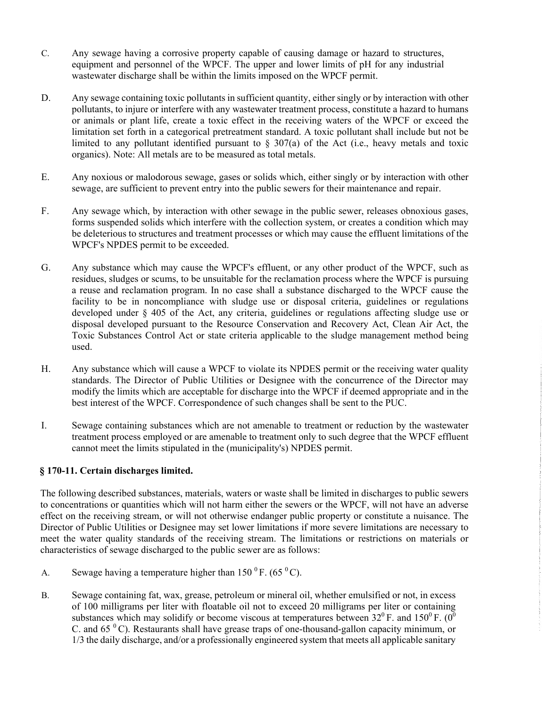- C. Any sewage having a corrosive property capable of causing damage or hazard to structures, equipment and personnel of the WPCF. The upper and lower limits of pH for any industrial wastewater discharge shall be within the limits imposed on the WPCF permit.
- D. Any sewage containing toxic pollutants in sufficient quantity, either singly or by interaction with other pollutants, to injure or interfere with any wastewater treatment process, constitute a hazard to humans or animals or plant life, create a toxic effect in the receiving waters of the WPCF or exceed the limitation set forth in a categorical pretreatment standard. A toxic pollutant shall include but not be limited to any pollutant identified pursuant to  $\S$  307(a) of the Act (i.e., heavy metals and toxic organics). Note: All metals are to be measured as total metals.
- E. Any noxious or malodorous sewage, gases or solids which, either singly or by interaction with other sewage, are sufficient to prevent entry into the public sewers for their maintenance and repair.
- F. Any sewage which, by interaction with other sewage in the public sewer, releases obnoxious gases, forms suspended solids which interfere with the collection system, or creates a condition which may be deleterious to structures and treatment processes or which may cause the effluent limitations of the WPCF's NPDES permit to be exceeded.
- G. Any substance which may cause the WPCF's effluent, or any other product of the WPCF, such as residues, sludges or scums, to be unsuitable for the reclamation process where the WPCF is pursuing a reuse and reclamation program. In no case shall a substance discharged to the WPCF cause the facility to be in noncompliance with sludge use or disposal criteria, guidelines or regulations developed under § 405 of the Act, any criteria, guidelines or regulations affecting sludge use or disposal developed pursuant to the Resource Conservation and Recovery Act, Clean Air Act, the Toxic Substances Control Act or state criteria applicable to the sludge management method being used.
- H. Any substance which will cause a WPCF to violate its NPDES permit or the receiving water quality standards. The Director of Public Utilities or Designee with the concurrence of the Director may modify the limits which are acceptable for discharge into the WPCF if deemed appropriate and in the best interest of the WPCF. Correspondence of such changes shall be sent to the PUC.
- I. Sewage containing substances which are not amenable to treatment or reduction by the wastewater treatment process employed or are amenable to treatment only to such degree that the WPCF effluent cannot meet the limits stipulated in the (municipality's) NPDES permit.

#### **§ 170-11. Certain discharges limited.**

The following described substances, materials, waters or waste shall be limited in discharges to public sewers to concentrations or quantities which will not harm either the sewers or the WPCF, will not have an adverse effect on the receiving stream, or will not otherwise endanger public property or constitute a nuisance. The Director of Public Utilities or Designee may set lower limitations if more severe limitations are necessary to meet the water quality standards of the receiving stream. The limitations or restrictions on materials or characteristics of sewage discharged to the public sewer are as follows:

- A. Sewage having a temperature higher than  $150^{\circ}$  F. (65  $^{\circ}$  C).
- B. Sewage containing fat, wax, grease, petroleum or mineral oil, whether emulsified or not, in excess of 100 milligrams per liter with floatable oil not to exceed 20 milligrams per liter or containing substances which may solidify or become viscous at temperatures between  $32^0$  F. and  $150^0$  F. (0<sup>0</sup>) C. and  $65<sup>0</sup>$  C). Restaurants shall have grease traps of one-thousand-gallon capacity minimum, or 1/3 the daily discharge, and/or a professionally engineered system that meets all applicable sanitary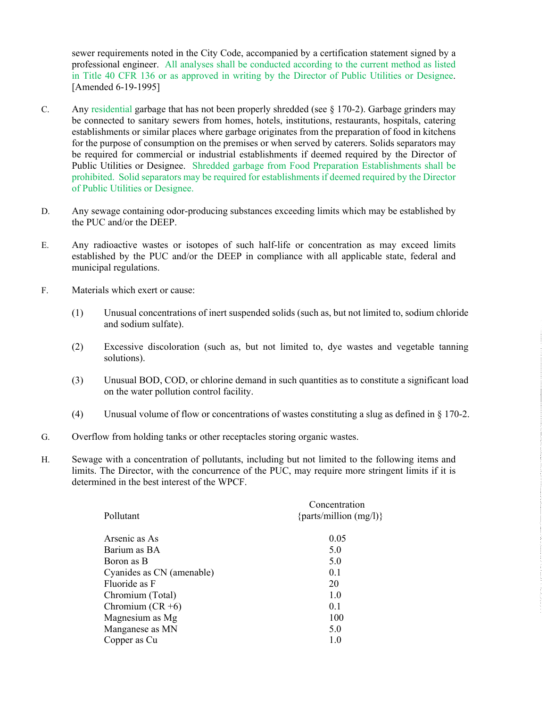sewer requirements noted in the City Code, accompanied by a certification statement signed by a professional engineer. All analyses shall be conducted according to the current method as listed in Title 40 CFR 136 or as approved in writing by the Director of Public Utilities or Designee. [Amended 6-19-1995]

- C. Any residential garbage that has not been properly shredded (see § 170-2). Garbage grinders may be connected to sanitary sewers from homes, hotels, institutions, restaurants, hospitals, catering establishments or similar places where garbage originates from the preparation of food in kitchens for the purpose of consumption on the premises or when served by caterers. Solids separators may be required for commercial or industrial establishments if deemed required by the Director of Public Utilities or Designee. Shredded garbage from Food Preparation Establishments shall be prohibited. Solid separators may be required for establishments if deemed required by the Director of Public Utilities or Designee.
- D. Any sewage containing odor-producing substances exceeding limits which may be established by the PUC and/or the DEEP.
- E. Any radioactive wastes or isotopes of such half-life or concentration as may exceed limits established by the PUC and/or the DEEP in compliance with all applicable state, federal and municipal regulations.
- F. Materials which exert or cause:
	- (1) Unusual concentrations of inert suspended solids (such as, but not limited to, sodium chloride and sodium sulfate).
	- (2) Excessive discoloration (such as, but not limited to, dye wastes and vegetable tanning solutions).
	- (3) Unusual BOD, COD, or chlorine demand in such quantities as to constitute a significant load on the water pollution control facility.
	- (4) Unusual volume of flow or concentrations of wastes constituting a slug as defined in § 170-2.
- G. Overflow from holding tanks or other receptacles storing organic wastes.
- H. Sewage with a concentration of pollutants, including but not limited to the following items and limits. The Director, with the concurrence of the PUC, may require more stringent limits if it is determined in the best interest of the WPCF.

| Pollutant                 | Concentration<br>{ $parts/million (mg/l)$ } |  |
|---------------------------|---------------------------------------------|--|
| Arsenic as As             | 0.05                                        |  |
| Barium as BA              | 5.0                                         |  |
| Boron as B                | 5.0                                         |  |
| Cyanides as CN (amenable) | 0.1                                         |  |
| Fluoride as F             | 20                                          |  |
| Chromium (Total)          | 1.0                                         |  |
| Chromium $(CR + 6)$       | 0.1                                         |  |
| Magnesium as Mg           | 100                                         |  |
| Manganese as MN           | 5.0                                         |  |
| Copper as Cu              | 1.0                                         |  |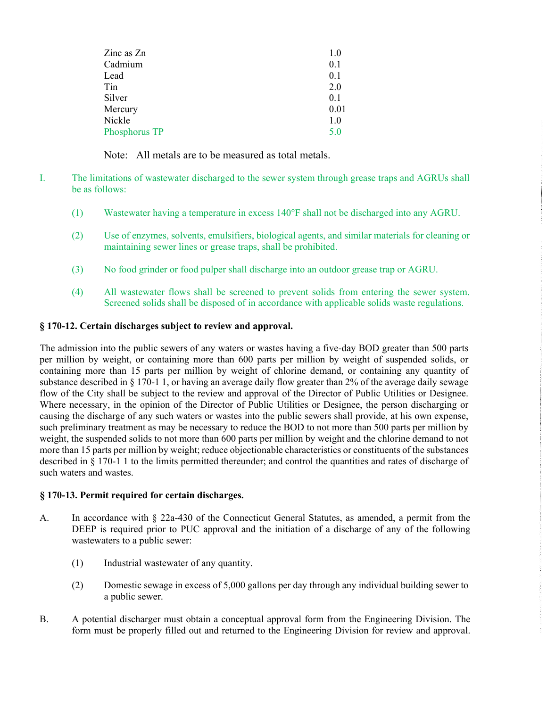| Zinc as Zn    | 1.0  |
|---------------|------|
| Cadmium       | 0.1  |
| Lead          | 0.1  |
| Tin           | 2.0  |
| Silver        | 0.1  |
| Mercury       | 0.01 |
| Nickle        | 1.0  |
| Phosphorus TP | 5.0  |
|               |      |

Note: All metals are to be measured as total metals.

- I. The limitations of wastewater discharged to the sewer system through grease traps and AGRUs shall be as follows:
	- (1) Wastewater having a temperature in excess  $140^{\circ}$ F shall not be discharged into any AGRU.
	- (2) Use of enzymes, solvents, emulsifiers, biological agents, and similar materials for cleaning or maintaining sewer lines or grease traps, shall be prohibited.
	- (3) No food grinder or food pulper shall discharge into an outdoor grease trap or AGRU.
	- (4) All wastewater flows shall be screened to prevent solids from entering the sewer system. Screened solids shall be disposed of in accordance with applicable solids waste regulations.

#### **§ 170-12. Certain discharges subject to review and approval.**

The admission into the public sewers of any waters or wastes having a five-day BOD greater than 500 parts per million by weight, or containing more than 600 parts per million by weight of suspended solids, or containing more than 15 parts per million by weight of chlorine demand, or containing any quantity of substance described in § 170-1 1, or having an average daily flow greater than 2% of the average daily sewage flow of the City shall be subject to the review and approval of the Director of Public Utilities or Designee. Where necessary, in the opinion of the Director of Public Utilities or Designee, the person discharging or causing the discharge of any such waters or wastes into the public sewers shall provide, at his own expense, such preliminary treatment as may be necessary to reduce the BOD to not more than 500 parts per million by weight, the suspended solids to not more than 600 parts per million by weight and the chlorine demand to not more than 15 parts per million by weight; reduce objectionable characteristics or constituents of the substances described in § 170-1 1 to the limits permitted thereunder; and control the quantities and rates of discharge of such waters and wastes.

#### **§ 170-13. Permit required for certain discharges.**

- A. In accordance with § 22a-430 of the Connecticut General Statutes, as amended, a permit from the DEEP is required prior to PUC approval and the initiation of a discharge of any of the following wastewaters to a public sewer:
	- (1) Industrial wastewater of any quantity.
	- (2) Domestic sewage in excess of 5,000 gallons per day through any individual building sewer to a public sewer.
- B. A potential discharger must obtain a conceptual approval form from the Engineering Division. The form must be properly filled out and returned to the Engineering Division for review and approval.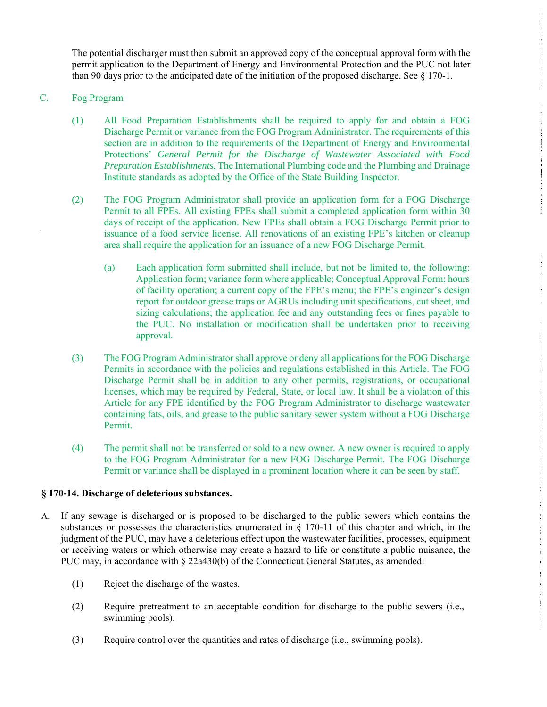The potential discharger must then submit an approved copy of the conceptual approval form with the permit application to the Department of Energy and Environmental Protection and the PUC not later than 90 days prior to the anticipated date of the initiation of the proposed discharge. See § 170-1.

#### C. Fog Program

- (1) All Food Preparation Establishments shall be required to apply for and obtain a FOG Discharge Permit or variance from the FOG Program Administrator. The requirements of this section are in addition to the requirements of the Department of Energy and Environmental Protections' *General Permit for the Discharge of Wastewater Associated with Food Preparation Establishments*, The International Plumbing code and the Plumbing and Drainage Institute standards as adopted by the Office of the State Building Inspector.
- (2) The FOG Program Administrator shall provide an application form for a FOG Discharge Permit to all FPEs. All existing FPEs shall submit a completed application form within 30 days of receipt of the application. New FPEs shall obtain a FOG Discharge Permit prior to issuance of a food service license. All renovations of an existing FPE's kitchen or cleanup area shall require the application for an issuance of a new FOG Discharge Permit.
	- (a) Each application form submitted shall include, but not be limited to, the following: Application form; variance form where applicable; Conceptual Approval Form; hours of facility operation; a current copy of the FPE's menu; the FPE's engineer's design report for outdoor grease traps or AGRUs including unit specifications, cut sheet, and sizing calculations; the application fee and any outstanding fees or fines payable to the PUC. No installation or modification shall be undertaken prior to receiving approval.
- (3) The FOG Program Administrator shall approve or deny all applications for the FOG Discharge Permits in accordance with the policies and regulations established in this Article. The FOG Discharge Permit shall be in addition to any other permits, registrations, or occupational licenses, which may be required by Federal, State, or local law. It shall be a violation of this Article for any FPE identified by the FOG Program Administrator to discharge wastewater containing fats, oils, and grease to the public sanitary sewer system without a FOG Discharge Permit.
- (4) The permit shall not be transferred or sold to a new owner. A new owner is required to apply to the FOG Program Administrator for a new FOG Discharge Permit. The FOG Discharge Permit or variance shall be displayed in a prominent location where it can be seen by staff.

#### **§ 170-14. Discharge of deleterious substances.**

- A. If any sewage is discharged or is proposed to be discharged to the public sewers which contains the substances or possesses the characteristics enumerated in § 170-11 of this chapter and which, in the judgment of the PUC, may have a deleterious effect upon the wastewater facilities, processes, equipment or receiving waters or which otherwise may create a hazard to life or constitute a public nuisance, the PUC may, in accordance with § 22a430(b) of the Connecticut General Statutes, as amended:
	- (1) Reject the discharge of the wastes.
	- (2) Require pretreatment to an acceptable condition for discharge to the public sewers (i.e., swimming pools).
	- (3) Require control over the quantities and rates of discharge (i.e., swimming pools).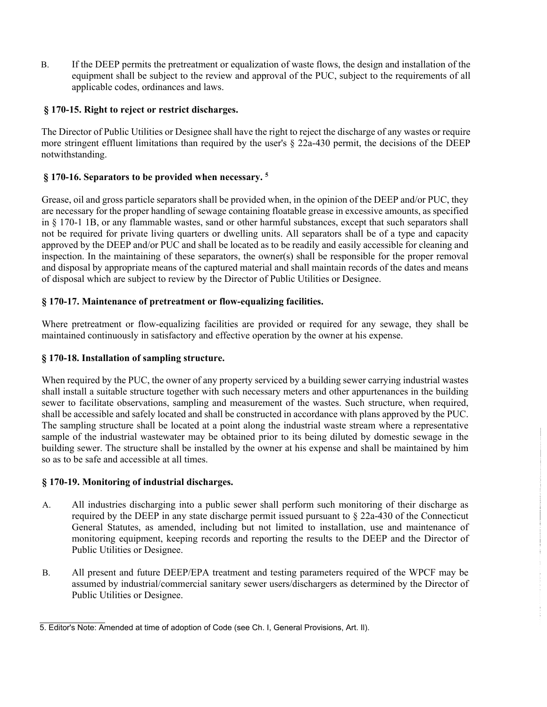B. If the DEEP permits the pretreatment or equalization of waste flows, the design and installation of the equipment shall be subject to the review and approval of the PUC, subject to the requirements of all applicable codes, ordinances and laws.

#### **§ 170-15. Right to reject or restrict discharges.**

The Director of Public Utilities or Designee shall have the right to reject the discharge of any wastes or require more stringent effluent limitations than required by the user's § 22a-430 permit, the decisions of the DEEP notwithstanding.

### **§ 170-16. Separators to be provided when necessary. 5**

Grease, oil and gross particle separators shall be provided when, in the opinion of the DEEP and/or PUC, they are necessary for the proper handling of sewage containing floatable grease in excessive amounts, as specified in § 170-1 1B, or any flammable wastes, sand or other harmful substances, except that such separators shall not be required for private living quarters or dwelling units. All separators shall be of a type and capacity approved by the DEEP and/or PUC and shall be located as to be readily and easily accessible for cleaning and inspection. In the maintaining of these separators, the owner(s) shall be responsible for the proper removal and disposal by appropriate means of the captured material and shall maintain records of the dates and means of disposal which are subject to review by the Director of Public Utilities or Designee.

#### **§ 170-17. Maintenance of pretreatment or flow-equalizing facilities.**

Where pretreatment or flow-equalizing facilities are provided or required for any sewage, they shall be maintained continuously in satisfactory and effective operation by the owner at his expense.

#### **§ 170-18. Installation of sampling structure.**

When required by the PUC, the owner of any property serviced by a building sewer carrying industrial wastes shall install a suitable structure together with such necessary meters and other appurtenances in the building sewer to facilitate observations, sampling and measurement of the wastes. Such structure, when required, shall be accessible and safely located and shall be constructed in accordance with plans approved by the PUC. The sampling structure shall be located at a point along the industrial waste stream where a representative sample of the industrial wastewater may be obtained prior to its being diluted by domestic sewage in the building sewer. The structure shall be installed by the owner at his expense and shall be maintained by him so as to be safe and accessible at all times.

#### **§ 170-19. Monitoring of industrial discharges.**

- A. All industries discharging into a public sewer shall perform such monitoring of their discharge as required by the DEEP in any state discharge permit issued pursuant to § 22a-430 of the Connecticut General Statutes, as amended, including but not limited to installation, use and maintenance of monitoring equipment, keeping records and reporting the results to the DEEP and the Director of Public Utilities or Designee.
- B. All present and future DEEP/EPA treatment and testing parameters required of the WPCF may be assumed by industrial/commercial sanitary sewer users/dischargers as determined by the Director of Public Utilities or Designee.

<sup>5.</sup> Editor's Note: Amended at time of adoption of Code (see Ch. I, General Provisions, Art. Il).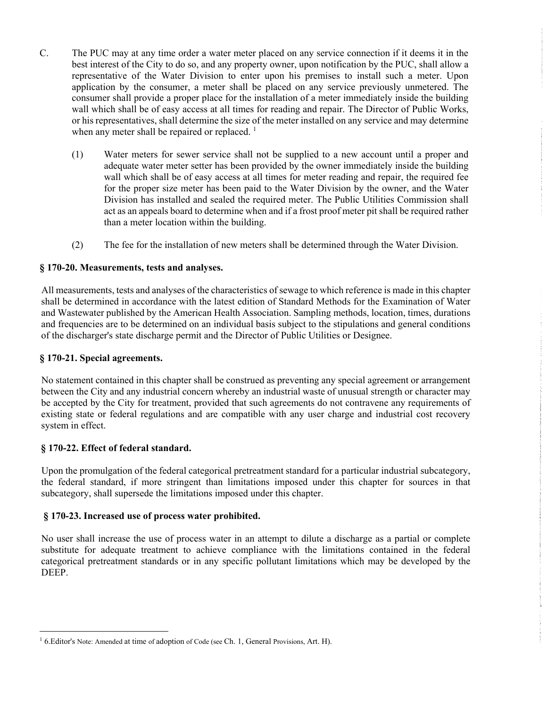- C. The PUC may at any time order a water meter placed on any service connection if it deems it in the best interest of the City to do so, and any property owner, upon notification by the PUC, shall allow a representative of the Water Division to enter upon his premises to install such a meter. Upon application by the consumer, a meter shall be placed on any service previously unmetered. The consumer shall provide a proper place for the installation of a meter immediately inside the building wall which shall be of easy access at all times for reading and repair. The Director of Public Works, or his representatives, shall determine the size of the meter installed on any service and may determine when any meter shall be repaired or replaced.  $<sup>1</sup>$ </sup>
	- (1) Water meters for sewer service shall not be supplied to a new account until a proper and adequate water meter setter has been provided by the owner immediately inside the building wall which shall be of easy access at all times for meter reading and repair, the required fee for the proper size meter has been paid to the Water Division by the owner, and the Water Division has installed and sealed the required meter. The Public Utilities Commission shall act as an appeals board to determine when and if a frost proof meter pit shall be required rather than a meter location within the building.
	- (2) The fee for the installation of new meters shall be determined through the Water Division.

#### **§ 170-20. Measurements, tests and analyses.**

All measurements, tests and analyses of the characteristics of sewage to which reference is made in this chapter shall be determined in accordance with the latest edition of Standard Methods for the Examination of Water and Wastewater published by the American Health Association. Sampling methods, location, times, durations and frequencies are to be determined on an individual basis subject to the stipulations and general conditions of the discharger's state discharge permit and the Director of Public Utilities or Designee.

#### **§ 170-21. Special agreements.**

No statement contained in this chapter shall be construed as preventing any special agreement or arrangement between the City and any industrial concern whereby an industrial waste of unusual strength or character may be accepted by the City for treatment, provided that such agreements do not contravene any requirements of existing state or federal regulations and are compatible with any user charge and industrial cost recovery system in effect.

#### **§ 170-22. Effect of federal standard.**

<u>.</u>

Upon the promulgation of the federal categorical pretreatment standard for a particular industrial subcategory, the federal standard, if more stringent than limitations imposed under this chapter for sources in that subcategory, shall supersede the limitations imposed under this chapter.

#### **§ 170-23. Increased use of process water prohibited.**

No user shall increase the use of process water in an attempt to dilute a discharge as a partial or complete substitute for adequate treatment to achieve compliance with the limitations contained in the federal categorical pretreatment standards or in any specific pollutant limitations which may be developed by the DEEP.

 $<sup>1</sup>$  6.Editor's Note: Amended at time of adoption of Code (see Ch. 1, General Provisions, Art. H).</sup>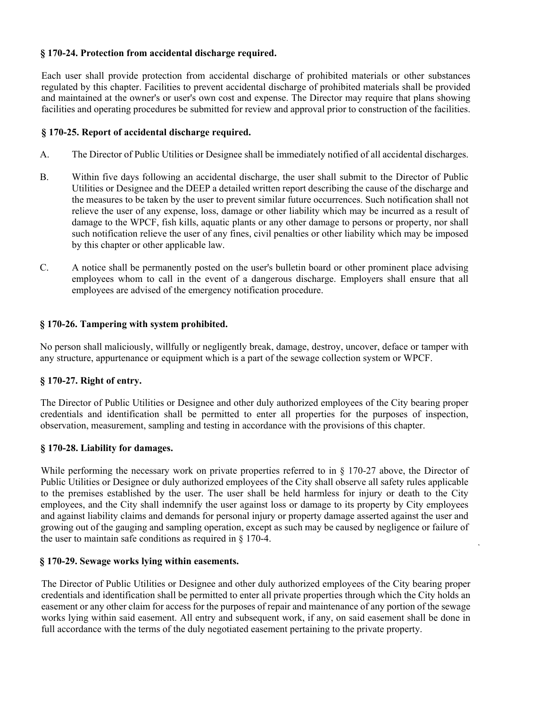#### **§ 170-24. Protection from accidental discharge required.**

Each user shall provide protection from accidental discharge of prohibited materials or other substances regulated by this chapter. Facilities to prevent accidental discharge of prohibited materials shall be provided and maintained at the owner's or user's own cost and expense. The Director may require that plans showing facilities and operating procedures be submitted for review and approval prior to construction of the facilities.

#### **§ 170-25. Report of accidental discharge required.**

- A. The Director of Public Utilities or Designee shall be immediately notified of all accidental discharges.
- B. Within five days following an accidental discharge, the user shall submit to the Director of Public Utilities or Designee and the DEEP a detailed written report describing the cause of the discharge and the measures to be taken by the user to prevent similar future occurrences. Such notification shall not relieve the user of any expense, loss, damage or other liability which may be incurred as a result of damage to the WPCF, fish kills, aquatic plants or any other damage to persons or property, nor shall such notification relieve the user of any fines, civil penalties or other liability which may be imposed by this chapter or other applicable law.
- C. A notice shall be permanently posted on the user's bulletin board or other prominent place advising employees whom to call in the event of a dangerous discharge. Employers shall ensure that all employees are advised of the emergency notification procedure.

#### **§ 170-26. Tampering with system prohibited.**

No person shall maliciously, willfully or negligently break, damage, destroy, uncover, deface or tamper with any structure, appurtenance or equipment which is a part of the sewage collection system or WPCF.

#### **§ 170-27. Right of entry.**

The Director of Public Utilities or Designee and other duly authorized employees of the City bearing proper credentials and identification shall be permitted to enter all properties for the purposes of inspection, observation, measurement, sampling and testing in accordance with the provisions of this chapter.

#### **§ 170-28. Liability for damages.**

While performing the necessary work on private properties referred to in § 170-27 above, the Director of Public Utilities or Designee or duly authorized employees of the City shall observe all safety rules applicable to the premises established by the user. The user shall be held harmless for injury or death to the City employees, and the City shall indemnify the user against loss or damage to its property by City employees and against liability claims and demands for personal injury or property damage asserted against the user and growing out of the gauging and sampling operation, except as such may be caused by negligence or failure of the user to maintain safe conditions as required in § 170-4.

#### **§ 170-29. Sewage works lying within easements.**

The Director of Public Utilities or Designee and other duly authorized employees of the City bearing proper credentials and identification shall be permitted to enter all private properties through which the City holds an easement or any other claim for access for the purposes of repair and maintenance of any portion of the sewage works lying within said easement. All entry and subsequent work, if any, on said easement shall be done in full accordance with the terms of the duly negotiated easement pertaining to the private property.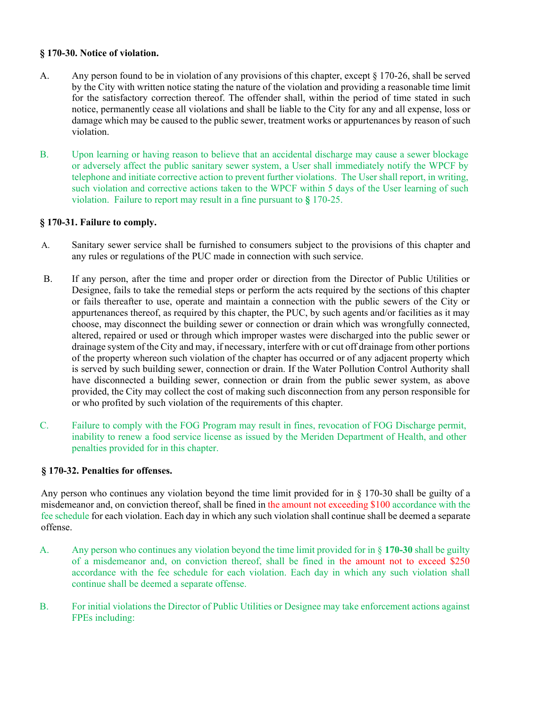#### **§ 170-30. Notice of violation.**

- A. Any person found to be in violation of any provisions of this chapter, except § 170-26, shall be served by the City with written notice stating the nature of the violation and providing a reasonable time limit for the satisfactory correction thereof. The offender shall, within the period of time stated in such notice, permanently cease all violations and shall be liable to the City for any and all expense, loss or damage which may be caused to the public sewer, treatment works or appurtenances by reason of such violation.
- B. Upon learning or having reason to believe that an accidental discharge may cause a sewer blockage or adversely affect the public sanitary sewer system, a User shall immediately notify the WPCF by telephone and initiate corrective action to prevent further violations. The User shall report, in writing, such violation and corrective actions taken to the WPCF within 5 days of the User learning of such violation. Failure to report may result in a fine pursuant to **§** 170-25.

#### **§ 170-31. Failure to comply.**

- A. Sanitary sewer service shall be furnished to consumers subject to the provisions of this chapter and any rules or regulations of the PUC made in connection with such service.
- B. If any person, after the time and proper order or direction from the Director of Public Utilities or Designee, fails to take the remedial steps or perform the acts required by the sections of this chapter or fails thereafter to use, operate and maintain a connection with the public sewers of the City or appurtenances thereof, as required by this chapter, the PUC, by such agents and/or facilities as it may choose, may disconnect the building sewer or connection or drain which was wrongfully connected, altered, repaired or used or through which improper wastes were discharged into the public sewer or drainage system of the City and may, if necessary, interfere with or cut off drainage from other portions of the property whereon such violation of the chapter has occurred or of any adjacent property which is served by such building sewer, connection or drain. If the Water Pollution Control Authority shall have disconnected a building sewer, connection or drain from the public sewer system, as above provided, the City may collect the cost of making such disconnection from any person responsible for or who profited by such violation of the requirements of this chapter.
- C. Failure to comply with the FOG Program may result in fines, revocation of FOG Discharge permit, inability to renew a food service license as issued by the Meriden Department of Health, and other penalties provided for in this chapter.

#### **§ 170-32. Penalties for offenses.**

Any person who continues any violation beyond the time limit provided for in § 170-30 shall be guilty of a misdemeanor and, on conviction thereof, shall be fined in the amount not exceeding \$100 accordance with the fee schedule for each violation. Each day in which any such violation shall continue shall be deemed a separate offense.

- A. Any person who continues any violation beyond the time limit provided for in § **170-30** shall be guilty of a misdemeanor and, on conviction thereof, shall be fined in the amount not to exceed \$250 accordance with the fee schedule for each violation. Each day in which any such violation shall continue shall be deemed a separate offense.
- B. For initial violations the Director of Public Utilities or Designee may take enforcement actions against FPEs including: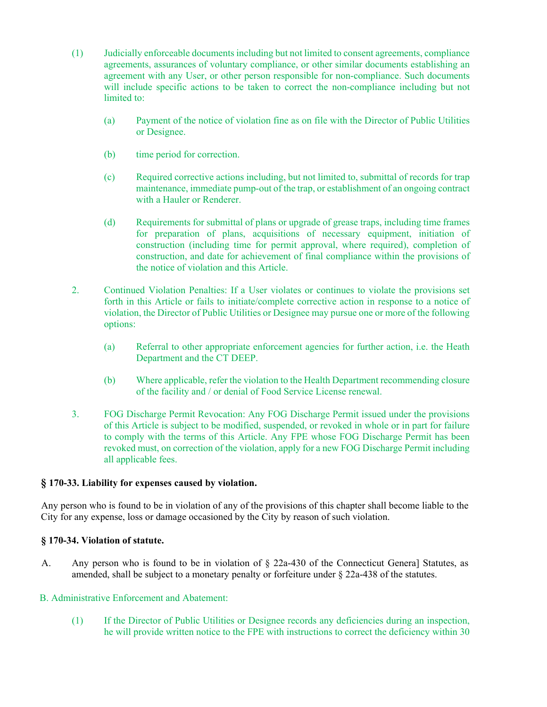- (1) Judicially enforceable documents including but not limited to consent agreements, compliance agreements, assurances of voluntary compliance, or other similar documents establishing an agreement with any User, or other person responsible for non-compliance. Such documents will include specific actions to be taken to correct the non-compliance including but not limited to:
	- (a) Payment of the notice of violation fine as on file with the Director of Public Utilities or Designee.
	- (b) time period for correction.
	- (c) Required corrective actions including, but not limited to, submittal of records for trap maintenance, immediate pump-out of the trap, or establishment of an ongoing contract with a Hauler or Renderer.
	- (d) Requirements for submittal of plans or upgrade of grease traps, including time frames for preparation of plans, acquisitions of necessary equipment, initiation of construction (including time for permit approval, where required), completion of construction, and date for achievement of final compliance within the provisions of the notice of violation and this Article.
- 2. Continued Violation Penalties: If a User violates or continues to violate the provisions set forth in this Article or fails to initiate/complete corrective action in response to a notice of violation, the Director of Public Utilities or Designee may pursue one or more of the following options:
	- (a) Referral to other appropriate enforcement agencies for further action, i.e. the Heath Department and the CT DEEP.
	- (b) Where applicable, refer the violation to the Health Department recommending closure of the facility and / or denial of Food Service License renewal.
- 3. FOG Discharge Permit Revocation: Any FOG Discharge Permit issued under the provisions of this Article is subject to be modified, suspended, or revoked in whole or in part for failure to comply with the terms of this Article. Any FPE whose FOG Discharge Permit has been revoked must, on correction of the violation, apply for a new FOG Discharge Permit including all applicable fees.

#### **§ 170-33. Liability for expenses caused by violation.**

Any person who is found to be in violation of any of the provisions of this chapter shall become liable to the City for any expense, loss or damage occasioned by the City by reason of such violation.

#### **§ 170-34. Violation of statute.**

A. Any person who is found to be in violation of § 22a-430 of the Connecticut Genera] Statutes, as amended, shall be subject to a monetary penalty or forfeiture under § 22a-438 of the statutes.

#### B. Administrative Enforcement and Abatement:

(1) If the Director of Public Utilities or Designee records any deficiencies during an inspection, he will provide written notice to the FPE with instructions to correct the deficiency within 30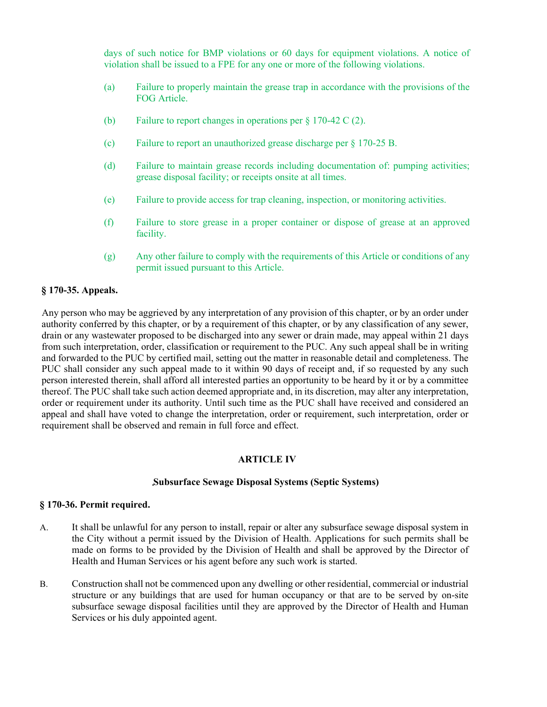days of such notice for BMP violations or 60 days for equipment violations. A notice of violation shall be issued to a FPE for any one or more of the following violations.

- (a) Failure to properly maintain the grease trap in accordance with the provisions of the FOG Article.
- (b) Failure to report changes in operations per § 170-42 C (2).
- (c) Failure to report an unauthorized grease discharge per § 170-25 B.
- (d) Failure to maintain grease records including documentation of: pumping activities; grease disposal facility; or receipts onsite at all times.
- (e) Failure to provide access for trap cleaning, inspection, or monitoring activities.
- (f) Failure to store grease in a proper container or dispose of grease at an approved facility.
- (g) Any other failure to comply with the requirements of this Article or conditions of any permit issued pursuant to this Article.

#### **§ 170-35. Appeals.**

Any person who may be aggrieved by any interpretation of any provision of this chapter, or by an order under authority conferred by this chapter, or by a requirement of this chapter, or by any classification of any sewer, drain or any wastewater proposed to be discharged into any sewer or drain made, may appeal within 21 days from such interpretation, order, classification or requirement to the PUC. Any such appeal shall be in writing and forwarded to the PUC by certified mail, setting out the matter in reasonable detail and completeness. The PUC shall consider any such appeal made to it within 90 days of receipt and, if so requested by any such person interested therein, shall afford all interested parties an opportunity to be heard by it or by a committee thereof. The PUC shall take such action deemed appropriate and, in its discretion, may alter any interpretation, order or requirement under its authority. Until such time as the PUC shall have received and considered an appeal and shall have voted to change the interpretation, order or requirement, such interpretation, order or requirement shall be observed and remain in full force and effect.

#### **ARTICLE IV**

#### **Subsurface Sewage Disposal Systems (Septic Systems)**

#### **§ 170-36. Permit required.**

- A. It shall be unlawful for any person to install, repair or alter any subsurface sewage disposal system in the City without a permit issued by the Division of Health. Applications for such permits shall be made on forms to be provided by the Division of Health and shall be approved by the Director of Health and Human Services or his agent before any such work is started.
- B. Construction shall not be commenced upon any dwelling or other residential, commercial or industrial structure or any buildings that are used for human occupancy or that are to be served by on-site subsurface sewage disposal facilities until they are approved by the Director of Health and Human Services or his duly appointed agent.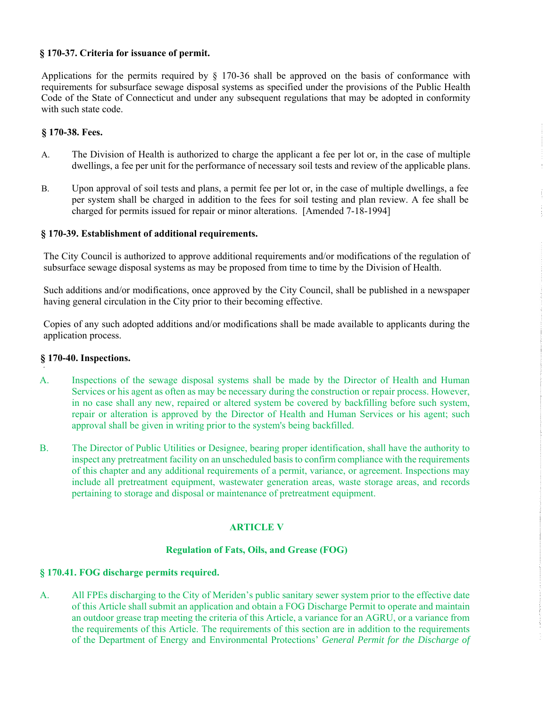#### **§ 170-37. Criteria for issuance of permit.**

Applications for the permits required by § 170-36 shall be approved on the basis of conformance with requirements for subsurface sewage disposal systems as specified under the provisions of the Public Health Code of the State of Connecticut and under any subsequent regulations that may be adopted in conformity with such state code.

#### **§ 170-38. Fees.**

A. The Division of Health is authorized to charge the applicant a fee per lot or, in the case of multiple dwellings, a fee per unit for the performance of necessary soil tests and review of the applicable plans.  $\mathcal{C}$  . The continuum continuum continuum continuum continuum continuum continuum continuum continuum continuum continuum continuum continuum continuum continuum continuum continuum continuum continuum continuum contin

 $\begin{array}{c} 1 \\ 1 \\ 2 \end{array}$  $\frac{1}{2}$ 

ţ

B. Upon approval of soil tests and plans, a permit fee per lot or, in the case of multiple dwellings, a fee per system shall be charged in addition to the fees for soil testing and plan review. A fee shall be charged for permits issued for repair or minor alterations. [Amended 7-18-1994]

#### **§ 170-39. Establishment of additional requirements.**

The City Council is authorized to approve additional requirements and/or modifications of the regulation of subsurface sewage disposal systems as may be proposed from time to time by the Division of Health.

Such additions and/or modifications, once approved by the City Council, shall be published in a newspaper having general circulation in the City prior to their becoming effective.

Copies of any such adopted additions and/or modifications shall be made available to applicants during the application process.

#### **§ 170-40. Inspections.**

- A. Inspections of the sewage disposal systems shall be made by the Director of Health and Human Services or his agent as often as may be necessary during the construction or repair process. However, in no case shall any new, repaired or altered system be covered by backfilling before such system, repair or alteration is approved by the Director of Health and Human Services or his agent; such approval shall be given in writing prior to the system's being backfilled.
- B. The Director of Public Utilities or Designee, bearing proper identification, shall have the authority to inspect any pretreatment facility on an unscheduled basis to confirm compliance with the requirements of this chapter and any additional requirements of a permit, variance, or agreement. Inspections may include all pretreatment equipment, wastewater generation areas, waste storage areas, and records pertaining to storage and disposal or maintenance of pretreatment equipment.

#### **ARTICLE V**

#### **Regulation of Fats, Oils, and Grease (FOG)**

#### **§ 170.41. FOG discharge permits required.**

A. All FPEs discharging to the City of Meriden's public sanitary sewer system prior to the effective date of this Article shall submit an application and obtain a FOG Discharge Permit to operate and maintain an outdoor grease trap meeting the criteria of this Article, a variance for an AGRU, or a variance from the requirements of this Article. The requirements of this section are in addition to the requirements of the Department of Energy and Environmental Protections' *General Permit for the Discharge of*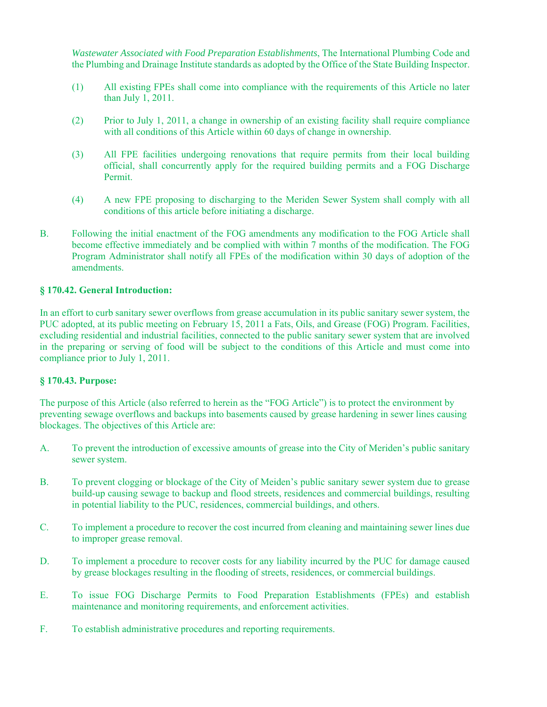*Wastewater Associated with Food Preparation Establishments*, The International Plumbing Code and the Plumbing and Drainage Institute standards as adopted by the Office of the State Building Inspector.

- (1) All existing FPEs shall come into compliance with the requirements of this Article no later than July 1, 2011.
- (2) Prior to July 1, 2011, a change in ownership of an existing facility shall require compliance with all conditions of this Article within 60 days of change in ownership.
- (3) All FPE facilities undergoing renovations that require permits from their local building official, shall concurrently apply for the required building permits and a FOG Discharge Permit.
- (4) A new FPE proposing to discharging to the Meriden Sewer System shall comply with all conditions of this article before initiating a discharge.
- B. Following the initial enactment of the FOG amendments any modification to the FOG Article shall become effective immediately and be complied with within 7 months of the modification. The FOG Program Administrator shall notify all FPEs of the modification within 30 days of adoption of the amendments.

#### **§ 170.42. General Introduction:**

In an effort to curb sanitary sewer overflows from grease accumulation in its public sanitary sewer system, the PUC adopted, at its public meeting on February 15, 2011 a Fats, Oils, and Grease (FOG) Program. Facilities, excluding residential and industrial facilities, connected to the public sanitary sewer system that are involved in the preparing or serving of food will be subject to the conditions of this Article and must come into compliance prior to July 1, 2011.

#### **§ 170.43. Purpose:**

The purpose of this Article (also referred to herein as the "FOG Article") is to protect the environment by preventing sewage overflows and backups into basements caused by grease hardening in sewer lines causing blockages. The objectives of this Article are:

- A. To prevent the introduction of excessive amounts of grease into the City of Meriden's public sanitary sewer system.
- B. To prevent clogging or blockage of the City of Meiden's public sanitary sewer system due to grease build-up causing sewage to backup and flood streets, residences and commercial buildings, resulting in potential liability to the PUC, residences, commercial buildings, and others.
- C. To implement a procedure to recover the cost incurred from cleaning and maintaining sewer lines due to improper grease removal.
- D. To implement a procedure to recover costs for any liability incurred by the PUC for damage caused by grease blockages resulting in the flooding of streets, residences, or commercial buildings.
- E. To issue FOG Discharge Permits to Food Preparation Establishments (FPEs) and establish maintenance and monitoring requirements, and enforcement activities.
- F. To establish administrative procedures and reporting requirements.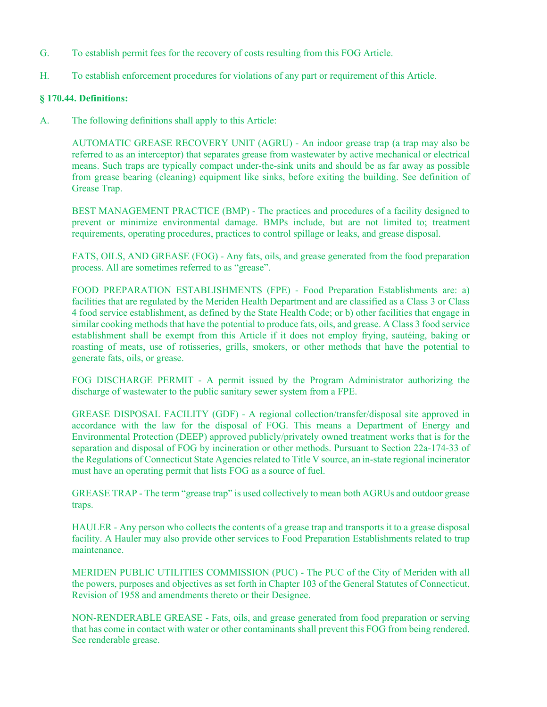- G. To establish permit fees for the recovery of costs resulting from this FOG Article.
- H. To establish enforcement procedures for violations of any part or requirement of this Article.

#### **§ 170.44. Definitions:**

A. The following definitions shall apply to this Article:

AUTOMATIC GREASE RECOVERY UNIT (AGRU) - An indoor grease trap (a trap may also be referred to as an interceptor) that separates grease from wastewater by active mechanical or electrical means. Such traps are typically compact under-the-sink units and should be as far away as possible from grease bearing (cleaning) equipment like sinks, before exiting the building. See definition of Grease Trap.

BEST MANAGEMENT PRACTICE (BMP) - The practices and procedures of a facility designed to prevent or minimize environmental damage. BMPs include, but are not limited to; treatment requirements, operating procedures, practices to control spillage or leaks, and grease disposal.

FATS, OILS, AND GREASE (FOG) - Any fats, oils, and grease generated from the food preparation process. All are sometimes referred to as "grease".

FOOD PREPARATION ESTABLISHMENTS (FPE) - Food Preparation Establishments are: a) facilities that are regulated by the Meriden Health Department and are classified as a Class 3 or Class 4 food service establishment, as defined by the State Health Code; or b) other facilities that engage in similar cooking methods that have the potential to produce fats, oils, and grease. A Class 3 food service establishment shall be exempt from this Article if it does not employ frying, sautéing, baking or roasting of meats, use of rotisseries, grills, smokers, or other methods that have the potential to generate fats, oils, or grease.

FOG DISCHARGE PERMIT - A permit issued by the Program Administrator authorizing the discharge of wastewater to the public sanitary sewer system from a FPE.

GREASE DISPOSAL FACILITY (GDF) - A regional collection/transfer/disposal site approved in accordance with the law for the disposal of FOG. This means a Department of Energy and Environmental Protection (DEEP) approved publicly/privately owned treatment works that is for the separation and disposal of FOG by incineration or other methods. Pursuant to Section 22a-174-33 of the Regulations of Connecticut State Agencies related to Title V source, an in-state regional incinerator must have an operating permit that lists FOG as a source of fuel.

GREASE TRAP - The term "grease trap" is used collectively to mean both AGRUs and outdoor grease traps.

HAULER - Any person who collects the contents of a grease trap and transports it to a grease disposal facility. A Hauler may also provide other services to Food Preparation Establishments related to trap maintenance.

MERIDEN PUBLIC UTILITIES COMMISSION (PUC) - The PUC of the City of Meriden with all the powers, purposes and objectives as set forth in Chapter 103 of the General Statutes of Connecticut, Revision of 1958 and amendments thereto or their Designee.

NON-RENDERABLE GREASE - Fats, oils, and grease generated from food preparation or serving that has come in contact with water or other contaminants shall prevent this FOG from being rendered. See renderable grease.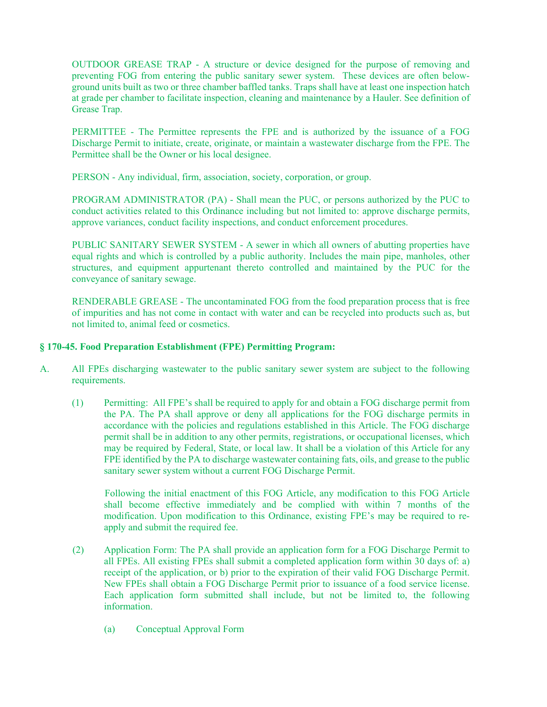OUTDOOR GREASE TRAP - A structure or device designed for the purpose of removing and preventing FOG from entering the public sanitary sewer system. These devices are often belowground units built as two or three chamber baffled tanks. Traps shall have at least one inspection hatch at grade per chamber to facilitate inspection, cleaning and maintenance by a Hauler. See definition of Grease Trap.

PERMITTEE - The Permittee represents the FPE and is authorized by the issuance of a FOG Discharge Permit to initiate, create, originate, or maintain a wastewater discharge from the FPE. The Permittee shall be the Owner or his local designee.

PERSON - Any individual, firm, association, society, corporation, or group.

PROGRAM ADMINISTRATOR (PA) - Shall mean the PUC, or persons authorized by the PUC to conduct activities related to this Ordinance including but not limited to: approve discharge permits, approve variances, conduct facility inspections, and conduct enforcement procedures.

PUBLIC SANITARY SEWER SYSTEM - A sewer in which all owners of abutting properties have equal rights and which is controlled by a public authority. Includes the main pipe, manholes, other structures, and equipment appurtenant thereto controlled and maintained by the PUC for the conveyance of sanitary sewage.

RENDERABLE GREASE - The uncontaminated FOG from the food preparation process that is free of impurities and has not come in contact with water and can be recycled into products such as, but not limited to, animal feed or cosmetics.

#### **§ 170-45. Food Preparation Establishment (FPE) Permitting Program:**

- A. All FPEs discharging wastewater to the public sanitary sewer system are subject to the following requirements.
	- (1) Permitting: All FPE's shall be required to apply for and obtain a FOG discharge permit from the PA. The PA shall approve or deny all applications for the FOG discharge permits in accordance with the policies and regulations established in this Article. The FOG discharge permit shall be in addition to any other permits, registrations, or occupational licenses, which may be required by Federal, State, or local law. It shall be a violation of this Article for any FPE identified by the PA to discharge wastewater containing fats, oils, and grease to the public sanitary sewer system without a current FOG Discharge Permit.

Following the initial enactment of this FOG Article, any modification to this FOG Article shall become effective immediately and be complied with within 7 months of the modification. Upon modification to this Ordinance, existing FPE's may be required to reapply and submit the required fee.

- (2) Application Form: The PA shall provide an application form for a FOG Discharge Permit to all FPEs. All existing FPEs shall submit a completed application form within 30 days of: a) receipt of the application, or b) prior to the expiration of their valid FOG Discharge Permit. New FPEs shall obtain a FOG Discharge Permit prior to issuance of a food service license. Each application form submitted shall include, but not be limited to, the following information.
	- (a) Conceptual Approval Form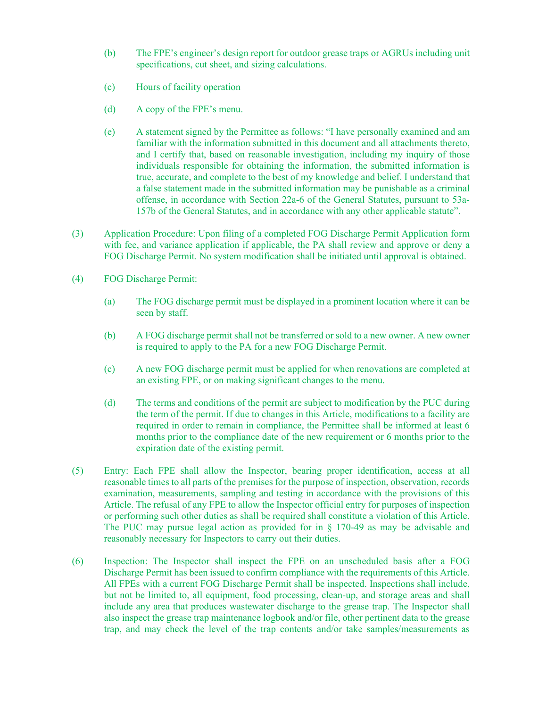- (b) The FPE's engineer's design report for outdoor grease traps or AGRUs including unit specifications, cut sheet, and sizing calculations.
- (c) Hours of facility operation
- (d) A copy of the FPE's menu.
- (e) A statement signed by the Permittee as follows: "I have personally examined and am familiar with the information submitted in this document and all attachments thereto, and I certify that, based on reasonable investigation, including my inquiry of those individuals responsible for obtaining the information, the submitted information is true, accurate, and complete to the best of my knowledge and belief. I understand that a false statement made in the submitted information may be punishable as a criminal offense, in accordance with Section 22a-6 of the General Statutes, pursuant to 53a-157b of the General Statutes, and in accordance with any other applicable statute".
- (3) Application Procedure: Upon filing of a completed FOG Discharge Permit Application form with fee, and variance application if applicable, the PA shall review and approve or deny a FOG Discharge Permit. No system modification shall be initiated until approval is obtained.
- (4) FOG Discharge Permit:
	- (a) The FOG discharge permit must be displayed in a prominent location where it can be seen by staff.
	- (b) A FOG discharge permit shall not be transferred or sold to a new owner. A new owner is required to apply to the PA for a new FOG Discharge Permit.
	- (c) A new FOG discharge permit must be applied for when renovations are completed at an existing FPE, or on making significant changes to the menu.
	- (d) The terms and conditions of the permit are subject to modification by the PUC during the term of the permit. If due to changes in this Article, modifications to a facility are required in order to remain in compliance, the Permittee shall be informed at least 6 months prior to the compliance date of the new requirement or 6 months prior to the expiration date of the existing permit.
- (5) Entry: Each FPE shall allow the Inspector, bearing proper identification, access at all reasonable times to all parts of the premises for the purpose of inspection, observation, records examination, measurements, sampling and testing in accordance with the provisions of this Article. The refusal of any FPE to allow the Inspector official entry for purposes of inspection or performing such other duties as shall be required shall constitute a violation of this Article. The PUC may pursue legal action as provided for in § 170-49 as may be advisable and reasonably necessary for Inspectors to carry out their duties.
- (6) Inspection: The Inspector shall inspect the FPE on an unscheduled basis after a FOG Discharge Permit has been issued to confirm compliance with the requirements of this Article. All FPEs with a current FOG Discharge Permit shall be inspected. Inspections shall include, but not be limited to, all equipment, food processing, clean-up, and storage areas and shall include any area that produces wastewater discharge to the grease trap. The Inspector shall also inspect the grease trap maintenance logbook and/or file, other pertinent data to the grease trap, and may check the level of the trap contents and/or take samples/measurements as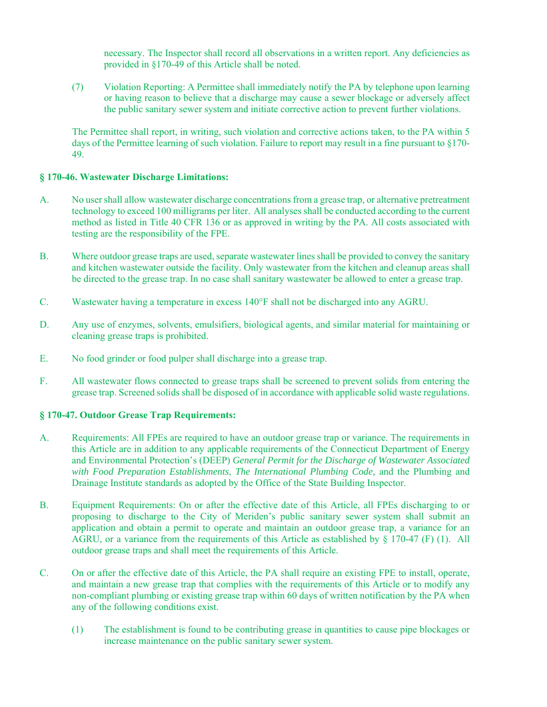necessary. The Inspector shall record all observations in a written report. Any deficiencies as provided in §170-49 of this Article shall be noted.

(7) Violation Reporting: A Permittee shall immediately notify the PA by telephone upon learning or having reason to believe that a discharge may cause a sewer blockage or adversely affect the public sanitary sewer system and initiate corrective action to prevent further violations.

The Permittee shall report, in writing, such violation and corrective actions taken, to the PA within 5 days of the Permittee learning of such violation. Failure to report may result in a fine pursuant to §170- 49.

#### **§ 170-46. Wastewater Discharge Limitations:**

- A. No user shall allow wastewater discharge concentrations from a grease trap, or alternative pretreatment technology to exceed 100 milligrams per liter. All analyses shall be conducted according to the current method as listed in Title 40 CFR 136 or as approved in writing by the PA. All costs associated with testing are the responsibility of the FPE.
- B. Where outdoor grease traps are used, separate wastewater lines shall be provided to convey the sanitary and kitchen wastewater outside the facility. Only wastewater from the kitchen and cleanup areas shall be directed to the grease trap. In no case shall sanitary wastewater be allowed to enter a grease trap.
- C. Wastewater having a temperature in excess  $140^{\circ}$ F shall not be discharged into any AGRU.
- D. Any use of enzymes, solvents, emulsifiers, biological agents, and similar material for maintaining or cleaning grease traps is prohibited.
- E. No food grinder or food pulper shall discharge into a grease trap.
- F. All wastewater flows connected to grease traps shall be screened to prevent solids from entering the grease trap. Screened solids shall be disposed of in accordance with applicable solid waste regulations.

#### **§ 170-47. Outdoor Grease Trap Requirements:**

- A. Requirements: All FPEs are required to have an outdoor grease trap or variance. The requirements in this Article are in addition to any applicable requirements of the Connecticut Department of Energy and Environmental Protection's (DEEP) *General Permit for the Discharge of Wastewater Associated with Food Preparation Establishments*, *The International Plumbing Code,* and the Plumbing and Drainage Institute standards as adopted by the Office of the State Building Inspector.
- B. Equipment Requirements: On or after the effective date of this Article, all FPEs discharging to or proposing to discharge to the City of Meriden's public sanitary sewer system shall submit an application and obtain a permit to operate and maintain an outdoor grease trap, a variance for an AGRU, or a variance from the requirements of this Article as established by  $\S 170-47$  (F) (1). All outdoor grease traps and shall meet the requirements of this Article.
- C. On or after the effective date of this Article, the PA shall require an existing FPE to install, operate, and maintain a new grease trap that complies with the requirements of this Article or to modify any non-compliant plumbing or existing grease trap within 60 days of written notification by the PA when any of the following conditions exist.
	- (1) The establishment is found to be contributing grease in quantities to cause pipe blockages or increase maintenance on the public sanitary sewer system.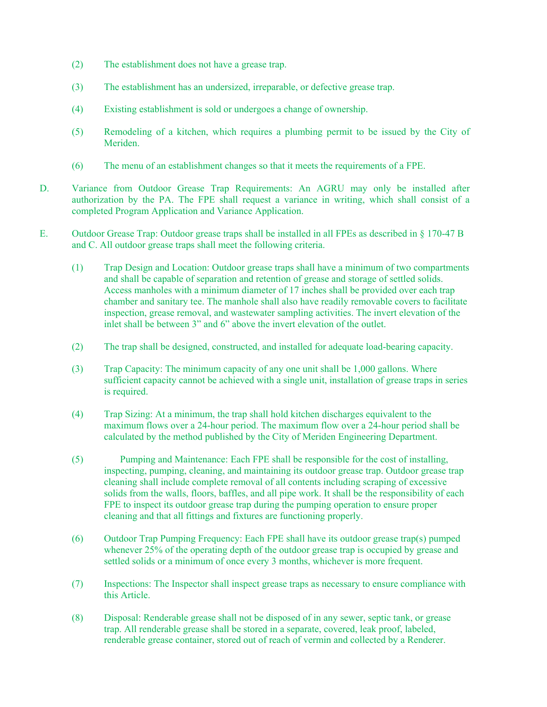- (2) The establishment does not have a grease trap.
- (3) The establishment has an undersized, irreparable, or defective grease trap.
- (4) Existing establishment is sold or undergoes a change of ownership.
- (5) Remodeling of a kitchen, which requires a plumbing permit to be issued by the City of Meriden.
- (6) The menu of an establishment changes so that it meets the requirements of a FPE.
- D. Variance from Outdoor Grease Trap Requirements: An AGRU may only be installed after authorization by the PA. The FPE shall request a variance in writing, which shall consist of a completed Program Application and Variance Application.
- E. Outdoor Grease Trap: Outdoor grease traps shall be installed in all FPEs as described in § 170-47 B and C. All outdoor grease traps shall meet the following criteria.
	- (1) Trap Design and Location: Outdoor grease traps shall have a minimum of two compartments and shall be capable of separation and retention of grease and storage of settled solids. Access manholes with a minimum diameter of 17 inches shall be provided over each trap chamber and sanitary tee. The manhole shall also have readily removable covers to facilitate inspection, grease removal, and wastewater sampling activities. The invert elevation of the inlet shall be between 3" and 6" above the invert elevation of the outlet.
	- (2) The trap shall be designed, constructed, and installed for adequate load-bearing capacity.
	- (3) Trap Capacity: The minimum capacity of any one unit shall be 1,000 gallons. Where sufficient capacity cannot be achieved with a single unit, installation of grease traps in series is required.
	- (4) Trap Sizing: At a minimum, the trap shall hold kitchen discharges equivalent to the maximum flows over a 24-hour period. The maximum flow over a 24-hour period shall be calculated by the method published by the City of Meriden Engineering Department.
	- (5) Pumping and Maintenance: Each FPE shall be responsible for the cost of installing, inspecting, pumping, cleaning, and maintaining its outdoor grease trap. Outdoor grease trap cleaning shall include complete removal of all contents including scraping of excessive solids from the walls, floors, baffles, and all pipe work. It shall be the responsibility of each FPE to inspect its outdoor grease trap during the pumping operation to ensure proper cleaning and that all fittings and fixtures are functioning properly.
	- (6) Outdoor Trap Pumping Frequency: Each FPE shall have its outdoor grease trap(s) pumped whenever 25% of the operating depth of the outdoor grease trap is occupied by grease and settled solids or a minimum of once every 3 months, whichever is more frequent.
	- (7) Inspections: The Inspector shall inspect grease traps as necessary to ensure compliance with this Article.
	- (8) Disposal: Renderable grease shall not be disposed of in any sewer, septic tank, or grease trap. All renderable grease shall be stored in a separate, covered, leak proof, labeled, renderable grease container, stored out of reach of vermin and collected by a Renderer.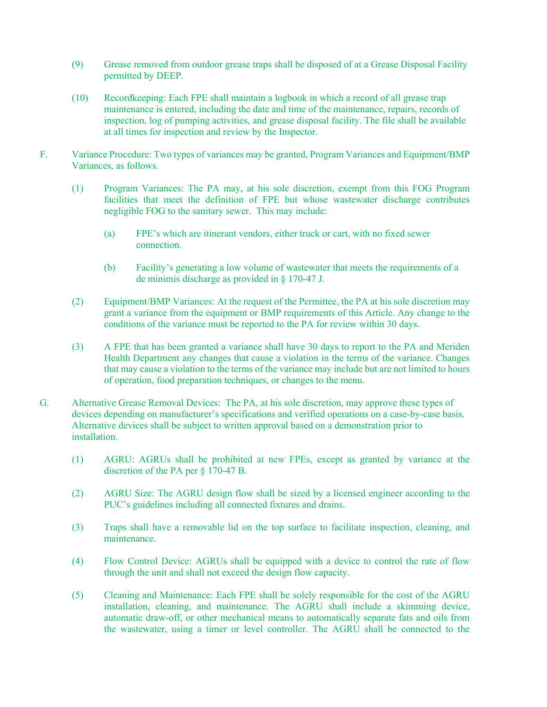- (9) Grease removed from outdoor grease traps shall be disposed of at a Grease Disposal Facility permitted by DEEP.
- (10) Recordkeeping: Each FPE shall maintain a logbook in which a record of all grease trap maintenance is entered, including the date and time of the maintenance, repairs, records of inspection, log of pumping activities, and grease disposal facility. The file shall be available at all times for inspection and review by the Inspector.
- F. Variance Procedure: Two types of variances may be granted, Program Variances and Equipment/BMP Variances, as follows.
	- (1) Program Variances: The PA may, at his sole discretion, exempt from this FOG Program facilities that meet the definition of FPE but whose wastewater discharge contributes negligible FOG to the sanitary sewer. This may include:
		- (a) FPE's which are itinerant vendors, either truck or cart, with no fixed sewer connection.
		- (b) Facility's generating a low volume of wastewater that meets the requirements of a de minimis discharge as provided in § 170-47 J.
	- (2) Equipment/BMP Variances: At the request of the Permittee, the PA at his sole discretion may grant a variance from the equipment or BMP requirements of this Article. Any change to the conditions of the variance must be reported to the PA for review within 30 days.
	- (3) A FPE that has been granted a variance shall have 30 days to report to the PA and Meriden Health Department any changes that cause a violation in the terms of the variance. Changes that may cause a violation to the terms of the variance may include but are not limited to hours of operation, food preparation techniques, or changes to the menu.
- G. Alternative Grease Removal Devices: The PA, at his sole discretion, may approve these types of devices depending on manufacturer's specifications and verified operations on a case-by-case basis. Alternative devices shall be subject to written approval based on a demonstration prior to installation.
	- (1) AGRU: AGRUs shall be prohibited at new FPEs, except as granted by variance at the discretion of the PA per § 170-47 B.
	- (2) AGRU Size: The AGRU design flow shall be sized by a licensed engineer according to the PUC's guidelines including all connected fixtures and drains.
	- (3) Traps shall have a removable lid on the top surface to facilitate inspection, cleaning, and maintenance.
	- (4) Flow Control Device: AGRUs shall be equipped with a device to control the rate of flow through the unit and shall not exceed the design flow capacity.
	- (5) Cleaning and Maintenance: Each FPE shall be solely responsible for the cost of the AGRU installation, cleaning, and maintenance. The AGRU shall include a skimming device, automatic draw-off, or other mechanical means to automatically separate fats and oils from the wastewater, using a timer or level controller. The AGRU shall be connected to the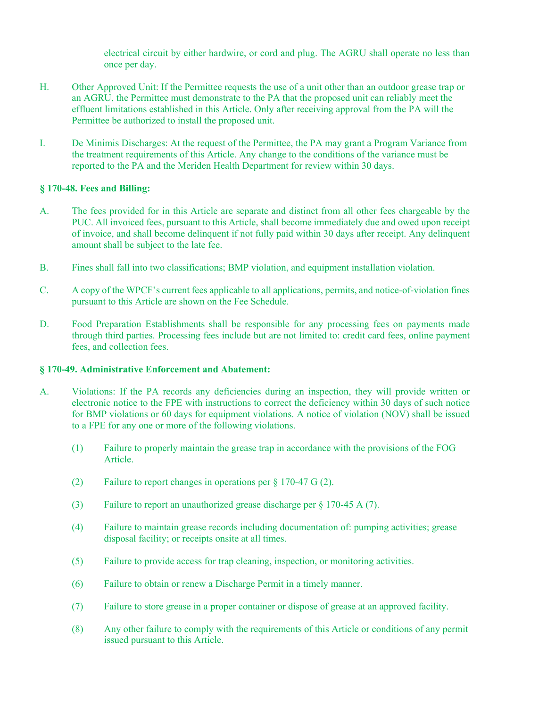electrical circuit by either hardwire, or cord and plug. The AGRU shall operate no less than once per day.

- H. Other Approved Unit: If the Permittee requests the use of a unit other than an outdoor grease trap or an AGRU, the Permittee must demonstrate to the PA that the proposed unit can reliably meet the effluent limitations established in this Article. Only after receiving approval from the PA will the Permittee be authorized to install the proposed unit.
- I. De Minimis Discharges: At the request of the Permittee, the PA may grant a Program Variance from the treatment requirements of this Article. Any change to the conditions of the variance must be reported to the PA and the Meriden Health Department for review within 30 days.

#### **§ 170-48. Fees and Billing:**

- A. The fees provided for in this Article are separate and distinct from all other fees chargeable by the PUC. All invoiced fees, pursuant to this Article, shall become immediately due and owed upon receipt of invoice, and shall become delinquent if not fully paid within 30 days after receipt. Any delinquent amount shall be subject to the late fee.
- B. Fines shall fall into two classifications; BMP violation, and equipment installation violation.
- C. A copy of the WPCF's current fees applicable to all applications, permits, and notice-of-violation fines pursuant to this Article are shown on the Fee Schedule.
- D. Food Preparation Establishments shall be responsible for any processing fees on payments made through third parties. Processing fees include but are not limited to: credit card fees, online payment fees, and collection fees.

#### **§ 170-49. Administrative Enforcement and Abatement:**

- A. Violations: If the PA records any deficiencies during an inspection, they will provide written or electronic notice to the FPE with instructions to correct the deficiency within 30 days of such notice for BMP violations or 60 days for equipment violations. A notice of violation (NOV) shall be issued to a FPE for any one or more of the following violations.
	- (1) Failure to properly maintain the grease trap in accordance with the provisions of the FOG Article.
	- (2) Failure to report changes in operations per § 170-47 G (2).
	- (3) Failure to report an unauthorized grease discharge per § 170-45 A (7).
	- (4) Failure to maintain grease records including documentation of: pumping activities; grease disposal facility; or receipts onsite at all times.
	- (5) Failure to provide access for trap cleaning, inspection, or monitoring activities.
	- (6) Failure to obtain or renew a Discharge Permit in a timely manner.
	- (7) Failure to store grease in a proper container or dispose of grease at an approved facility.
	- (8) Any other failure to comply with the requirements of this Article or conditions of any permit issued pursuant to this Article.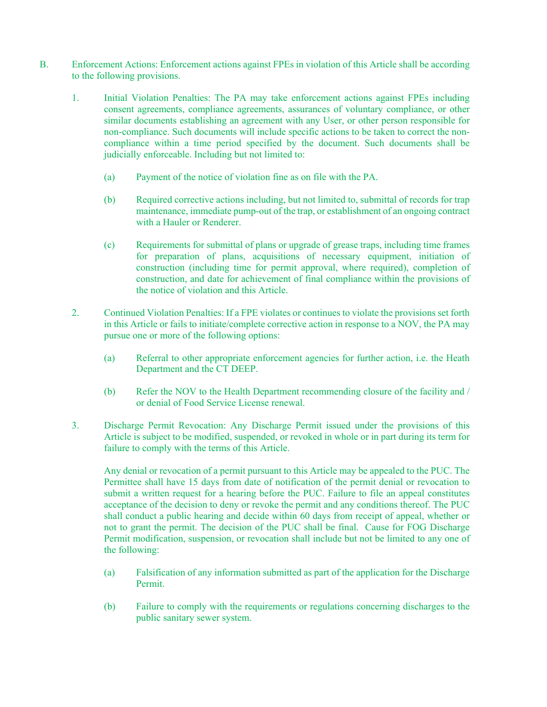- B. Enforcement Actions: Enforcement actions against FPEs in violation of this Article shall be according to the following provisions.
	- 1. Initial Violation Penalties: The PA may take enforcement actions against FPEs including consent agreements, compliance agreements, assurances of voluntary compliance, or other similar documents establishing an agreement with any User, or other person responsible for non-compliance. Such documents will include specific actions to be taken to correct the noncompliance within a time period specified by the document. Such documents shall be judicially enforceable. Including but not limited to:
		- (a) Payment of the notice of violation fine as on file with the PA.
		- (b) Required corrective actions including, but not limited to, submittal of records for trap maintenance, immediate pump-out of the trap, or establishment of an ongoing contract with a Hauler or Renderer.
		- (c) Requirements for submittal of plans or upgrade of grease traps, including time frames for preparation of plans, acquisitions of necessary equipment, initiation of construction (including time for permit approval, where required), completion of construction, and date for achievement of final compliance within the provisions of the notice of violation and this Article.
	- 2. Continued Violation Penalties: If a FPE violates or continues to violate the provisions set forth in this Article or fails to initiate/complete corrective action in response to a NOV, the PA may pursue one or more of the following options:
		- (a) Referral to other appropriate enforcement agencies for further action, i.e. the Heath Department and the CT DEEP.
		- (b) Refer the NOV to the Health Department recommending closure of the facility and / or denial of Food Service License renewal.
	- 3. Discharge Permit Revocation: Any Discharge Permit issued under the provisions of this Article is subject to be modified, suspended, or revoked in whole or in part during its term for failure to comply with the terms of this Article.

Any denial or revocation of a permit pursuant to this Article may be appealed to the PUC. The Permittee shall have 15 days from date of notification of the permit denial or revocation to submit a written request for a hearing before the PUC. Failure to file an appeal constitutes acceptance of the decision to deny or revoke the permit and any conditions thereof. The PUC shall conduct a public hearing and decide within 60 days from receipt of appeal, whether or not to grant the permit. The decision of the PUC shall be final. Cause for FOG Discharge Permit modification, suspension, or revocation shall include but not be limited to any one of the following:

- (a) Falsification of any information submitted as part of the application for the Discharge Permit.
- (b) Failure to comply with the requirements or regulations concerning discharges to the public sanitary sewer system.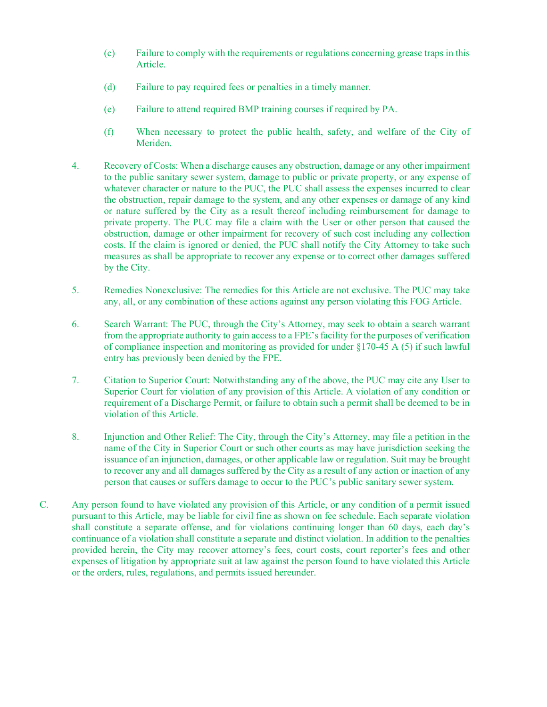- (c) Failure to comply with the requirements or regulations concerning grease traps in this Article.
- (d) Failure to pay required fees or penalties in a timely manner.
- (e) Failure to attend required BMP training courses if required by PA.
- (f) When necessary to protect the public health, safety, and welfare of the City of Meriden.
- 4. Recovery of Costs: When a discharge causes any obstruction, damage or any other impairment to the public sanitary sewer system, damage to public or private property, or any expense of whatever character or nature to the PUC, the PUC shall assess the expenses incurred to clear the obstruction, repair damage to the system, and any other expenses or damage of any kind or nature suffered by the City as a result thereof including reimbursement for damage to private property. The PUC may file a claim with the User or other person that caused the obstruction, damage or other impairment for recovery of such cost including any collection costs. If the claim is ignored or denied, the PUC shall notify the City Attorney to take such measures as shall be appropriate to recover any expense or to correct other damages suffered by the City.
- 5. Remedies Nonexclusive: The remedies for this Article are not exclusive. The PUC may take any, all, or any combination of these actions against any person violating this FOG Article.
- 6. Search Warrant: The PUC, through the City's Attorney, may seek to obtain a search warrant from the appropriate authority to gain access to a FPE's facility for the purposes of verification of compliance inspection and monitoring as provided for under §170-45 A (5) if such lawful entry has previously been denied by the FPE.
- 7. Citation to Superior Court: Notwithstanding any of the above, the PUC may cite any User to Superior Court for violation of any provision of this Article. A violation of any condition or requirement of a Discharge Permit, or failure to obtain such a permit shall be deemed to be in violation of this Article.
- 8. Injunction and Other Relief: The City, through the City's Attorney, may file a petition in the name of the City in Superior Court or such other courts as may have jurisdiction seeking the issuance of an injunction, damages, or other applicable law or regulation. Suit may be brought to recover any and all damages suffered by the City as a result of any action or inaction of any person that causes or suffers damage to occur to the PUC's public sanitary sewer system.
- C. Any person found to have violated any provision of this Article, or any condition of a permit issued pursuant to this Article, may be liable for civil fine as shown on fee schedule. Each separate violation shall constitute a separate offense, and for violations continuing longer than 60 days, each day's continuance of a violation shall constitute a separate and distinct violation. In addition to the penalties provided herein, the City may recover attorney's fees, court costs, court reporter's fees and other expenses of litigation by appropriate suit at law against the person found to have violated this Article or the orders, rules, regulations, and permits issued hereunder.